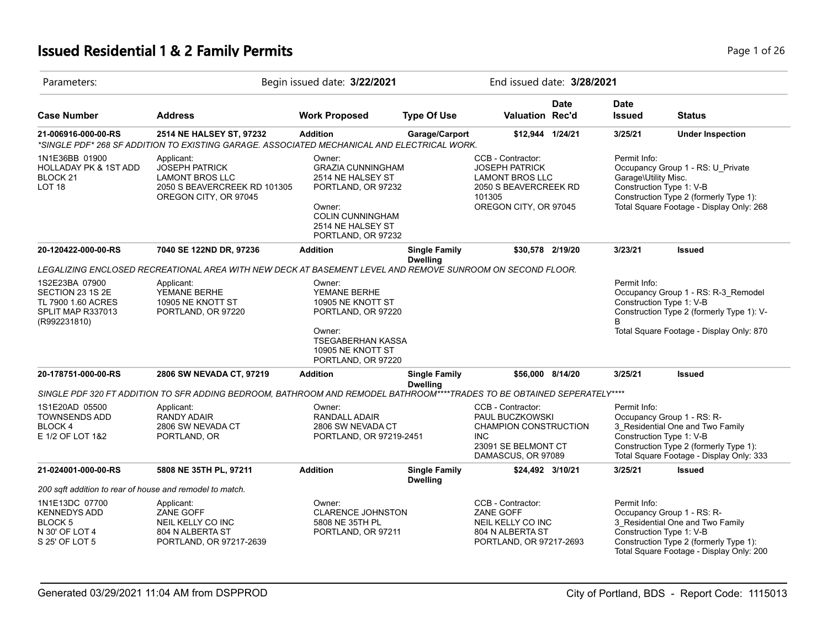# **Issued Residential 1 & 2 Family Permits Page 1 of 26 Page 1 of 26**

| Parameters:                                                                                   |                                                                                                                                      | Begin issued date: 3/22/2021                                                                                                                                  |                                         |                                                                                                                                  | End issued date: 3/28/2021 |                                                                  |                                                                                                                                                      |
|-----------------------------------------------------------------------------------------------|--------------------------------------------------------------------------------------------------------------------------------------|---------------------------------------------------------------------------------------------------------------------------------------------------------------|-----------------------------------------|----------------------------------------------------------------------------------------------------------------------------------|----------------------------|------------------------------------------------------------------|------------------------------------------------------------------------------------------------------------------------------------------------------|
| <b>Case Number</b>                                                                            | <b>Address</b>                                                                                                                       | <b>Work Proposed</b>                                                                                                                                          | <b>Type Of Use</b>                      | <b>Valuation Rec'd</b>                                                                                                           | Date                       | <b>Date</b><br><b>Issued</b>                                     | <b>Status</b>                                                                                                                                        |
| 21-006916-000-00-RS                                                                           | 2514 NE HALSEY ST, 97232<br>*SINGLE PDF* 268 SF ADDITION TO EXISTING GARAGE. ASSOCIATED MECHANICAL AND ELECTRICAL WORK.              | <b>Addition</b>                                                                                                                                               | Garage/Carport                          | \$12,944 1/24/21                                                                                                                 |                            | 3/25/21                                                          | <b>Under Inspection</b>                                                                                                                              |
| 1N1E36BB 01900<br><b>HOLLADAY PK &amp; 1ST ADD</b><br>BLOCK 21<br>LOT <sub>18</sub>           | Applicant:<br><b>JOSEPH PATRICK</b><br><b>LAMONT BROS LLC</b><br>2050 S BEAVERCREEK RD 101305<br>OREGON CITY, OR 97045               | Owner:<br><b>GRAZIA CUNNINGHAM</b><br>2514 NE HALSEY ST<br>PORTLAND, OR 97232<br>Owner:<br><b>COLIN CUNNINGHAM</b><br>2514 NE HALSEY ST<br>PORTLAND, OR 97232 |                                         | CCB - Contractor:<br><b>JOSEPH PATRICK</b><br><b>LAMONT BROS LLC</b><br>2050 S BEAVERCREEK RD<br>101305<br>OREGON CITY, OR 97045 |                            | Permit Info:<br>Garage\Utility Misc.<br>Construction Type 1: V-B | Occupancy Group 1 - RS: U_Private<br>Construction Type 2 (formerly Type 1):<br>Total Square Footage - Display Only: 268                              |
| 20-120422-000-00-RS                                                                           | 7040 SE 122ND DR, 97236                                                                                                              | <b>Addition</b>                                                                                                                                               | <b>Single Family</b><br><b>Dwelling</b> | \$30,578 2/19/20                                                                                                                 |                            | 3/23/21                                                          | <b>Issued</b>                                                                                                                                        |
|                                                                                               | LEGALIZING ENCLOSED RECREATIONAL AREA WITH NEW DECK AT BASEMENT LEVEL AND REMOVE SUNROOM ON SECOND FLOOR.                            |                                                                                                                                                               |                                         |                                                                                                                                  |                            |                                                                  |                                                                                                                                                      |
| 1S2E23BA 07900<br>SECTION 23 1S 2E<br>TL 7900 1.60 ACRES<br>SPLIT MAP R337013<br>(R992231810) | Applicant:<br>YEMANE BERHE<br>10905 NE KNOTT ST<br>PORTLAND, OR 97220                                                                | Owner:<br>YEMANE BERHE<br>10905 NE KNOTT ST<br>PORTLAND, OR 97220<br>Owner:                                                                                   |                                         |                                                                                                                                  |                            | Permit Info:<br>Construction Type 1: V-B<br>B.                   | Occupancy Group 1 - RS: R-3_Remodel<br>Construction Type 2 (formerly Type 1): V-<br>Total Square Footage - Display Only: 870                         |
|                                                                                               |                                                                                                                                      | <b>TSEGABERHAN KASSA</b><br>10905 NE KNOTT ST<br>PORTLAND, OR 97220                                                                                           |                                         |                                                                                                                                  |                            |                                                                  |                                                                                                                                                      |
| 20-178751-000-00-RS                                                                           | 2806 SW NEVADA CT, 97219                                                                                                             | <b>Addition</b>                                                                                                                                               | <b>Single Family</b><br><b>Dwelling</b> | \$56,000 8/14/20                                                                                                                 |                            | 3/25/21                                                          | <b>Issued</b>                                                                                                                                        |
|                                                                                               | SINGLE PDF 320 FT ADDITION TO SFR ADDING BEDROOM, BATHROOM AND REMODEL BATHROOM <sup>T+++</sup> TRADES TO BE OBTAINED SEPERATELY**** |                                                                                                                                                               |                                         |                                                                                                                                  |                            |                                                                  |                                                                                                                                                      |
| 1S1E20AD 05500<br><b>TOWNSENDS ADD</b><br>BLOCK 4<br>E 1/2 OF LOT 1&2                         | Applicant:<br><b>RANDY ADAIR</b><br>2806 SW NEVADA CT<br>PORTLAND, OR                                                                | Owner:<br>RANDALL ADAIR<br>2806 SW NEVADA CT<br>PORTLAND, OR 97219-2451                                                                                       |                                         | CCB - Contractor:<br>PAUL BUCZKOWSKI<br><b>CHAMPION CONSTRUCTION</b><br><b>INC</b><br>23091 SE BELMONT CT<br>DAMASCUS, OR 97089  |                            | Permit Info:<br>Construction Type 1: V-B                         | Occupancy Group 1 - RS: R-<br>3_Residential One and Two Family<br>Construction Type 2 (formerly Type 1):<br>Total Square Footage - Display Only: 333 |
| 21-024001-000-00-RS                                                                           | 5808 NE 35TH PL, 97211                                                                                                               | <b>Addition</b>                                                                                                                                               | <b>Single Family</b><br><b>Dwelling</b> | \$24,492 3/10/21                                                                                                                 |                            | 3/25/21                                                          | <b>Issued</b>                                                                                                                                        |
| 200 sqft addition to rear of house and remodel to match.                                      |                                                                                                                                      |                                                                                                                                                               |                                         |                                                                                                                                  |                            |                                                                  |                                                                                                                                                      |
| 1N1E13DC 07700<br><b>KENNEDYS ADD</b><br><b>BLOCK 5</b><br>N 30' OF LOT 4<br>S 25' OF LOT 5   | Applicant:<br>ZANE GOFF<br>NEIL KELLY CO INC<br>804 N ALBERTA ST<br>PORTLAND, OR 97217-2639                                          | Owner:<br><b>CLARENCE JOHNSTON</b><br>5808 NE 35TH PL<br>PORTLAND, OR 97211                                                                                   |                                         | CCB - Contractor:<br><b>ZANE GOFF</b><br>NEIL KELLY CO INC<br>804 N ALBERTA ST<br>PORTLAND, OR 97217-2693                        |                            | Permit Info:<br>Construction Type 1: V-B                         | Occupancy Group 1 - RS: R-<br>3 Residential One and Two Family<br>Construction Type 2 (formerly Type 1):<br>Total Square Footage - Display Only: 200 |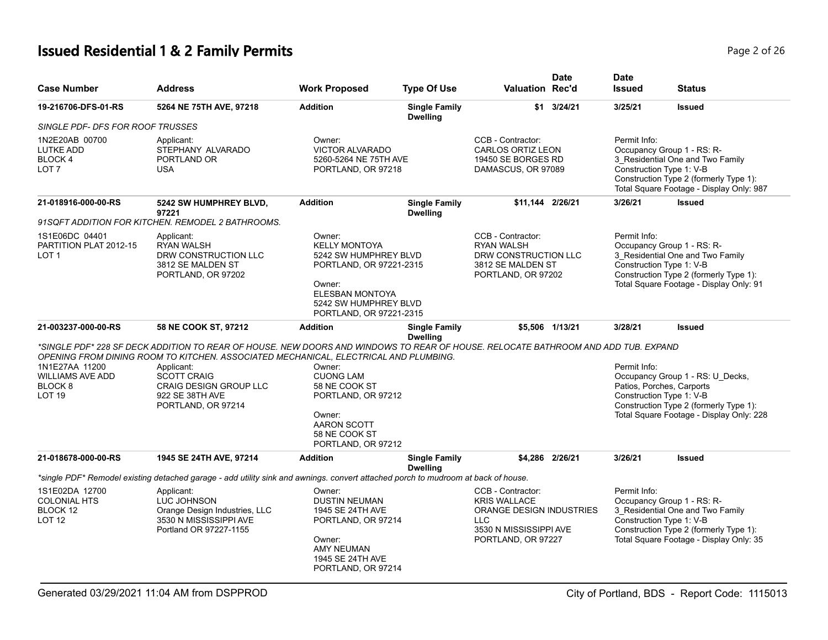# **Issued Residential 1 & 2 Family Permits Page 1 and 20 If 26 and 20 If 26 2 And 20 If 26 2 And 20 If 26 2 And 20 If 26 2 And 20 If 26 2 And 20 If 26 2 And 20 If 26 2 And 20 If 20 If 20 If 20 If 20 If 20 If 20 If 20 If 20**

| <b>Case Number</b>                                                               | <b>Address</b>                                                                                                                                                                                                                                                                                                                          | <b>Work Proposed</b>                                                                                                                                                       | <b>Type Of Use</b>                      | <b>Valuation Rec'd</b>                                                                                                       | <b>Date</b>        | <b>Date</b><br><b>Issued</b>                                                                                                                                                                     | <b>Status</b>                                                                                                          |
|----------------------------------------------------------------------------------|-----------------------------------------------------------------------------------------------------------------------------------------------------------------------------------------------------------------------------------------------------------------------------------------------------------------------------------------|----------------------------------------------------------------------------------------------------------------------------------------------------------------------------|-----------------------------------------|------------------------------------------------------------------------------------------------------------------------------|--------------------|--------------------------------------------------------------------------------------------------------------------------------------------------------------------------------------------------|------------------------------------------------------------------------------------------------------------------------|
| 19-216706-DFS-01-RS                                                              | 5264 NE 75TH AVE, 97218                                                                                                                                                                                                                                                                                                                 | <b>Addition</b>                                                                                                                                                            | <b>Single Family</b><br><b>Dwelling</b> |                                                                                                                              | $$1 \quad 3/24/21$ | 3/25/21                                                                                                                                                                                          | <b>Issued</b>                                                                                                          |
| SINGLE PDF- DFS FOR ROOF TRUSSES                                                 |                                                                                                                                                                                                                                                                                                                                         |                                                                                                                                                                            |                                         |                                                                                                                              |                    |                                                                                                                                                                                                  |                                                                                                                        |
| 1N2E20AB 00700<br><b>LUTKE ADD</b><br>BLOCK 4<br>LOT 7                           | Applicant:<br>STEPHANY ALVARADO<br>PORTLAND OR<br><b>USA</b>                                                                                                                                                                                                                                                                            | Owner:<br><b>VICTOR ALVARADO</b><br>5260-5264 NE 75TH AVE<br>PORTLAND, OR 97218                                                                                            |                                         | CCB - Contractor:<br><b>CARLOS ORTIZ LEON</b><br>19450 SE BORGES RD<br>DAMASCUS, OR 97089                                    |                    | Permit Info:<br>Occupancy Group 1 - RS: R-<br>3 Residential One and Two Family<br>Construction Type 1: V-B<br>Construction Type 2 (formerly Type 1):<br>Total Square Footage - Display Only: 987 |                                                                                                                        |
| 21-018916-000-00-RS                                                              | 5242 SW HUMPHREY BLVD,<br>97221<br>91SQFT ADDITION FOR KITCHEN. REMODEL 2 BATHROOMS.                                                                                                                                                                                                                                                    | <b>Addition</b>                                                                                                                                                            | <b>Single Family</b><br><b>Dwelling</b> | \$11,144 2/26/21                                                                                                             |                    | 3/26/21                                                                                                                                                                                          | <b>Issued</b>                                                                                                          |
| 1S1E06DC 04401<br>PARTITION PLAT 2012-15<br>LOT <sub>1</sub>                     | Applicant:<br><b>RYAN WALSH</b><br>DRW CONSTRUCTION LLC<br>3812 SE MALDEN ST<br>PORTLAND, OR 97202                                                                                                                                                                                                                                      | Owner:<br><b>KELLY MONTOYA</b><br>5242 SW HUMPHREY BLVD<br>PORTLAND, OR 97221-2315<br>Owner:<br><b>ELESBAN MONTOYA</b><br>5242 SW HUMPHREY BLVD<br>PORTLAND, OR 97221-2315 |                                         | CCB - Contractor:<br><b>RYAN WALSH</b><br>DRW CONSTRUCTION LLC<br>3812 SE MALDEN ST<br>PORTLAND, OR 97202                    |                    | Permit Info:<br>Occupancy Group 1 - RS: R-<br>Construction Type 1: V-B                                                                                                                           | 3_Residential One and Two Family<br>Construction Type 2 (formerly Type 1):<br>Total Square Footage - Display Only: 91  |
| 21-003237-000-00-RS                                                              | 58 NE COOK ST, 97212                                                                                                                                                                                                                                                                                                                    | <b>Addition</b>                                                                                                                                                            | <b>Single Family</b><br><b>Dwelling</b> |                                                                                                                              | \$5,506 1/13/21    | 3/28/21                                                                                                                                                                                          | <b>Issued</b>                                                                                                          |
| 1N1E27AA 11200<br><b>WILLIAMS AVE ADD</b><br>BLOCK <sub>8</sub><br><b>LOT 19</b> | *SINGLE PDF* 228 SF DECK ADDITION TO REAR OF HOUSE. NEW DOORS AND WINDOWS TO REAR OF HOUSE. RELOCATE BATHROOM AND ADD TUB. EXPAND<br>OPENING FROM DINING ROOM TO KITCHEN. ASSOCIATED MECHANICAL. ELECTRICAL AND PLUMBING.<br>Applicant:<br><b>SCOTT CRAIG</b><br><b>CRAIG DESIGN GROUP LLC</b><br>922 SE 38TH AVE<br>PORTLAND, OR 97214 | Owner:<br><b>CUONG LAM</b><br>58 NE COOK ST<br>PORTLAND, OR 97212<br>Owner:<br>AARON SCOTT<br>58 NE COOK ST<br>PORTLAND, OR 97212                                          |                                         |                                                                                                                              |                    | Permit Info:<br>Patios, Porches, Carports<br>Construction Type 1: V-B                                                                                                                            | Occupancy Group 1 - RS: U_Decks,<br>Construction Type 2 (formerly Type 1):<br>Total Square Footage - Display Only: 228 |
| 21-018678-000-00-RS                                                              | 1945 SE 24TH AVE, 97214                                                                                                                                                                                                                                                                                                                 | <b>Addition</b>                                                                                                                                                            | <b>Single Family</b><br><b>Dwelling</b> |                                                                                                                              | \$4.286 2/26/21    | 3/26/21                                                                                                                                                                                          | <b>Issued</b>                                                                                                          |
|                                                                                  | *single PDF* Remodel existing detached garage - add utility sink and awnings. convert attached porch to mudroom at back of house.                                                                                                                                                                                                       |                                                                                                                                                                            |                                         |                                                                                                                              |                    |                                                                                                                                                                                                  |                                                                                                                        |
| 1S1E02DA 12700<br><b>COLONIAL HTS</b><br>BLOCK 12<br><b>LOT 12</b>               | Applicant:<br>LUC JOHNSON<br>Orange Design Industries, LLC<br>3530 N MISSISSIPPI AVE<br>Portland OR 97227-1155                                                                                                                                                                                                                          | Owner:<br><b>DUSTIN NEUMAN</b><br>1945 SE 24TH AVE<br>PORTLAND, OR 97214<br>Owner:<br><b>AMY NEUMAN</b><br>1945 SE 24TH AVE<br>PORTLAND, OR 97214                          |                                         | CCB - Contractor:<br><b>KRIS WALLACE</b><br>ORANGE DESIGN INDUSTRIES<br>LLC.<br>3530 N MISSISSIPPI AVE<br>PORTLAND, OR 97227 |                    | Permit Info:<br>Occupancy Group 1 - RS: R-<br>Construction Type 1: V-B                                                                                                                           | 3 Residential One and Two Family<br>Construction Type 2 (formerly Type 1):<br>Total Square Footage - Display Only: 35  |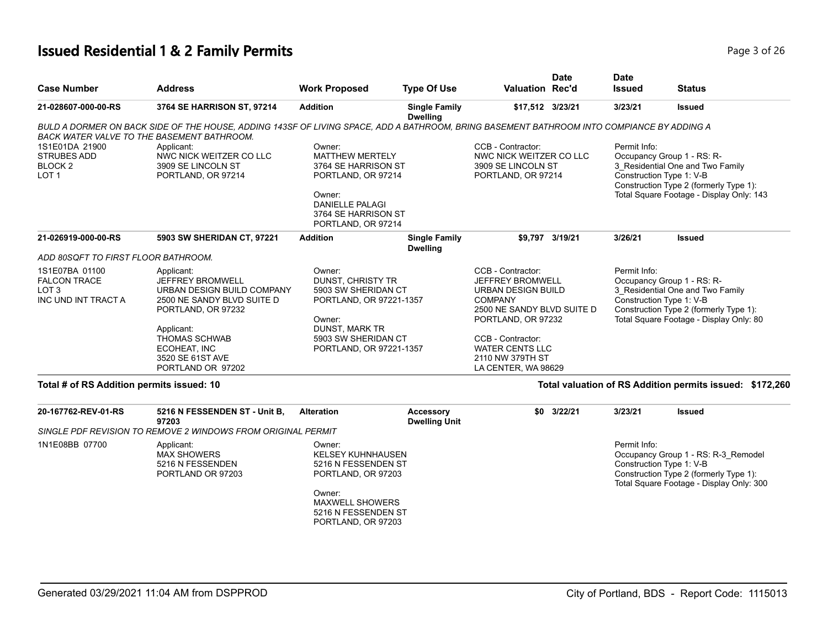# **Issued Residential 1 & 2 Family Permits** Page 3 of 26 of 26 of 26 of 26 of 26 of 26 of 26 of 26 of 26 of 26 of 26

| Page 3 of 26 |  |  |
|--------------|--|--|

| <b>Case Number</b>                                                               | <b>Address</b>                                                                                                                                                                                                         | <b>Work Proposed</b>                                                                                                                                                      | <b>Type Of Use</b>                       | <b>Valuation Rec'd</b>                                                                                                                                                                                                                    | <b>Date</b>     | <b>Date</b><br><b>Issued</b> | <b>Status</b>                                                                                                                                                                    |
|----------------------------------------------------------------------------------|------------------------------------------------------------------------------------------------------------------------------------------------------------------------------------------------------------------------|---------------------------------------------------------------------------------------------------------------------------------------------------------------------------|------------------------------------------|-------------------------------------------------------------------------------------------------------------------------------------------------------------------------------------------------------------------------------------------|-----------------|------------------------------|----------------------------------------------------------------------------------------------------------------------------------------------------------------------------------|
| 21-028607-000-00-RS                                                              | 3764 SE HARRISON ST, 97214                                                                                                                                                                                             | <b>Addition</b>                                                                                                                                                           | <b>Single Family</b><br><b>Dwelling</b>  | \$17,512 3/23/21                                                                                                                                                                                                                          |                 | 3/23/21                      | <b>Issued</b>                                                                                                                                                                    |
|                                                                                  | BULD A DORMER ON BACK SIDE OF THE HOUSE, ADDING 143SF OF LIVING SPACE, ADD A BATHROOM, BRING BASEMENT BATHROOM INTO COMPIANCE BY ADDING A<br>BACK WATER VALVE TO THE BASEMENT BATHROOM.                                |                                                                                                                                                                           |                                          |                                                                                                                                                                                                                                           |                 |                              |                                                                                                                                                                                  |
| 1S1E01DA 21900<br><b>STRUBES ADD</b><br>BLOCK <sub>2</sub><br>LOT <sub>1</sub>   | Applicant:<br>NWC NICK WEITZER CO LLC<br>3909 SE LINCOLN ST<br>PORTLAND, OR 97214                                                                                                                                      | Owner:<br><b>MATTHEW MERTELY</b><br>3764 SE HARRISON ST<br>PORTLAND, OR 97214<br>Owner:<br><b>DANIELLE PALAGI</b><br>3764 SE HARRISON ST<br>PORTLAND, OR 97214            |                                          | CCB - Contractor:<br>NWC NICK WEITZER CO LLC<br>3909 SE LINCOLN ST<br>PORTLAND, OR 97214                                                                                                                                                  |                 | Permit Info:                 | Occupancy Group 1 - RS: R-<br>3 Residential One and Two Family<br>Construction Type 1: V-B<br>Construction Type 2 (formerly Type 1):<br>Total Square Footage - Display Only: 143 |
| 21-026919-000-00-RS                                                              | 5903 SW SHERIDAN CT, 97221                                                                                                                                                                                             | <b>Addition</b>                                                                                                                                                           | <b>Single Family</b><br><b>Dwelling</b>  |                                                                                                                                                                                                                                           | \$9,797 3/19/21 | 3/26/21                      | <b>Issued</b>                                                                                                                                                                    |
| ADD 80SQFT TO FIRST FLOOR BATHROOM.                                              |                                                                                                                                                                                                                        |                                                                                                                                                                           |                                          |                                                                                                                                                                                                                                           |                 |                              |                                                                                                                                                                                  |
| 1S1E07BA 01100<br><b>FALCON TRACE</b><br>LOT <sub>3</sub><br>INC UND INT TRACT A | Applicant:<br><b>JEFFREY BROMWELL</b><br>URBAN DESIGN BUILD COMPANY<br>2500 NE SANDY BLVD SUITE D<br>PORTLAND, OR 97232<br>Applicant:<br><b>THOMAS SCHWAB</b><br>ECOHEAT, INC<br>3520 SE 61ST AVE<br>PORTLAND OR 97202 | Owner:<br><b>DUNST, CHRISTY TR</b><br>5903 SW SHERIDAN CT<br>PORTLAND, OR 97221-1357<br>Owner:<br><b>DUNST, MARK TR</b><br>5903 SW SHERIDAN CT<br>PORTLAND, OR 97221-1357 |                                          | CCB - Contractor:<br><b>JEFFREY BROMWELL</b><br><b>URBAN DESIGN BUILD</b><br><b>COMPANY</b><br>2500 NE SANDY BLVD SUITE D<br>PORTLAND, OR 97232<br>CCB - Contractor:<br><b>WATER CENTS LLC</b><br>2110 NW 379TH ST<br>LA CENTER, WA 98629 |                 | Permit Info:                 | Occupancy Group 1 - RS: R-<br>3 Residential One and Two Family<br>Construction Type 1: V-B<br>Construction Type 2 (formerly Type 1):<br>Total Square Footage - Display Only: 80  |
| Total # of RS Addition permits issued: 10                                        |                                                                                                                                                                                                                        |                                                                                                                                                                           |                                          |                                                                                                                                                                                                                                           |                 |                              | Total valuation of RS Addition permits issued: \$172,260                                                                                                                         |
| 20-167762-REV-01-RS                                                              | 5216 N FESSENDEN ST - Unit B,<br>97203                                                                                                                                                                                 | <b>Alteration</b>                                                                                                                                                         | <b>Accessory</b><br><b>Dwelling Unit</b> |                                                                                                                                                                                                                                           | \$0 3/22/21     | 3/23/21                      | <b>Issued</b>                                                                                                                                                                    |
|                                                                                  | SINGLE PDF REVISION TO REMOVE 2 WINDOWS FROM ORIGINAL PERMIT                                                                                                                                                           |                                                                                                                                                                           |                                          |                                                                                                                                                                                                                                           |                 |                              |                                                                                                                                                                                  |
| 1N1E08BB 07700                                                                   | Applicant:<br><b>MAX SHOWERS</b><br>5216 N FESSENDEN<br>PORTLAND OR 97203                                                                                                                                              | Owner:<br><b>KELSEY KUHNHAUSEN</b><br>5216 N FESSENDEN ST<br>PORTLAND, OR 97203<br>Owner:<br><b>MAXWELL SHOWERS</b><br>5216 N FESSENDEN ST                                |                                          |                                                                                                                                                                                                                                           |                 | Permit Info:                 | Occupancy Group 1 - RS: R-3_Remodel<br>Construction Type 1: V-B<br>Construction Type 2 (formerly Type 1):<br>Total Square Footage - Display Only: 300                            |

PORTLAND, OR 97203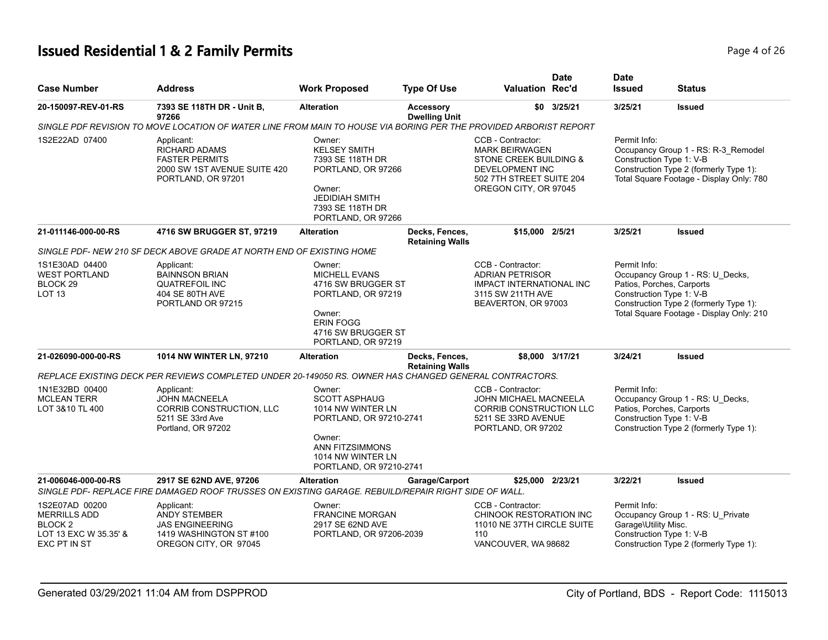# **Issued Residential 1 & 2 Family Permits Page 1 of 26 and 26 and 26 and 26 and 26 and 26 and 26 and 26 and 26 and 26 and 26 and 26 and 26 and 26 and 26 and 26 and 26 and 26 and 26 and 26 and 26 and 26 and 26 and 26 and 2**

| <b>Case Number</b>                                                                                   | <b>Address</b>                                                                                                                  | <b>Work Proposed</b>                                                                                                                                               | <b>Type Of Use</b>                       | Valuation Rec'd                                                                                                                                     | Date            | <b>Date</b><br><b>Issued</b>                                                                                                                                                                    | <b>Status</b>                                                                                                                       |
|------------------------------------------------------------------------------------------------------|---------------------------------------------------------------------------------------------------------------------------------|--------------------------------------------------------------------------------------------------------------------------------------------------------------------|------------------------------------------|-----------------------------------------------------------------------------------------------------------------------------------------------------|-----------------|-------------------------------------------------------------------------------------------------------------------------------------------------------------------------------------------------|-------------------------------------------------------------------------------------------------------------------------------------|
| 20-150097-REV-01-RS                                                                                  | 7393 SE 118TH DR - Unit B,<br>97266                                                                                             | <b>Alteration</b>                                                                                                                                                  | <b>Accessory</b><br><b>Dwelling Unit</b> | \$0                                                                                                                                                 | 3/25/21         | 3/25/21                                                                                                                                                                                         | <b>Issued</b>                                                                                                                       |
|                                                                                                      | SINGLE PDF REVISION TO MOVE LOCATION OF WATER LINE FROM MAIN TO HOUSE VIA BORING PER THE PROVIDED ARBORIST REPORT               |                                                                                                                                                                    |                                          |                                                                                                                                                     |                 |                                                                                                                                                                                                 |                                                                                                                                     |
| 1S2E22AD 07400                                                                                       | Applicant:<br><b>RICHARD ADAMS</b><br><b>FASTER PERMITS</b><br>2000 SW 1ST AVENUE SUITE 420<br>PORTLAND, OR 97201               | Owner:<br><b>KELSEY SMITH</b><br>7393 SE 118TH DR<br>PORTLAND, OR 97266<br>Owner:<br><b>JEDIDIAH SMITH</b><br>7393 SE 118TH DR<br>PORTLAND, OR 97266               |                                          | CCB - Contractor:<br><b>MARK BEIRWAGEN</b><br>STONE CREEK BUILDING &<br><b>DEVELOPMENT INC</b><br>502 7TH STREET SUITE 204<br>OREGON CITY, OR 97045 |                 | Permit Info:<br>Construction Type 1: V-B                                                                                                                                                        | Occupancy Group 1 - RS: R-3_Remodel<br>Construction Type 2 (formerly Type 1):<br>Total Square Footage - Display Only: 780           |
| 21-011146-000-00-RS                                                                                  | 4716 SW BRUGGER ST, 97219                                                                                                       | <b>Alteration</b>                                                                                                                                                  | Decks, Fences,<br><b>Retaining Walls</b> | \$15,000 2/5/21                                                                                                                                     |                 | 3/25/21                                                                                                                                                                                         | <b>Issued</b>                                                                                                                       |
|                                                                                                      | SINGLE PDF-NEW 210 SF DECK ABOVE GRADE AT NORTH END OF EXISTING HOME                                                            |                                                                                                                                                                    |                                          |                                                                                                                                                     |                 |                                                                                                                                                                                                 |                                                                                                                                     |
| 1S1E30AD 04400<br><b>WEST PORTLAND</b><br>BLOCK 29<br>LOT <sub>13</sub>                              | Applicant:<br><b>BAINNSON BRIAN</b><br><b>QUATREFOIL INC</b><br>404 SE 80TH AVE<br>PORTLAND OR 97215                            | Owner:<br><b>MICHELL EVANS</b><br>4716 SW BRUGGER ST<br>PORTLAND, OR 97219<br>Owner:<br><b>ERIN FOGG</b><br>4716 SW BRUGGER ST<br>PORTLAND, OR 97219               |                                          | CCB - Contractor:<br><b>ADRIAN PETRISOR</b><br><b>IMPACT INTERNATIONAL INC</b><br>3115 SW 211TH AVE<br>BEAVERTON, OR 97003                          |                 | Permit Info:<br>Occupancy Group 1 - RS: U_Decks,<br>Patios, Porches, Carports<br>Construction Type 1: V-B<br>Construction Type 2 (formerly Type 1):<br>Total Square Footage - Display Only: 210 |                                                                                                                                     |
| 21-026090-000-00-RS                                                                                  | 1014 NW WINTER LN, 97210                                                                                                        | <b>Alteration</b>                                                                                                                                                  | Decks, Fences,                           |                                                                                                                                                     | \$8,000 3/17/21 | 3/24/21                                                                                                                                                                                         | <b>Issued</b>                                                                                                                       |
|                                                                                                      | REPLACE EXISTING DECK PER REVIEWS COMPLETED UNDER 20-149050 RS. OWNER HAS CHANGED GENERAL CONTRACTORS.                          |                                                                                                                                                                    | <b>Retaining Walls</b>                   |                                                                                                                                                     |                 |                                                                                                                                                                                                 |                                                                                                                                     |
| 1N1E32BD 00400<br><b>MCLEAN TERR</b><br>LOT 3&10 TL 400                                              | Applicant:<br><b>JOHN MACNEELA</b><br>CORRIB CONSTRUCTION, LLC<br>5211 SE 33rd Ave<br>Portland, OR 97202                        | Owner:<br><b>SCOTT ASPHAUG</b><br>1014 NW WINTER LN<br>PORTLAND, OR 97210-2741<br>Owner:<br><b>ANN FITZSIMMONS</b><br>1014 NW WINTER LN<br>PORTLAND, OR 97210-2741 |                                          | CCB - Contractor:<br><b>JOHN MICHAEL MACNEELA</b><br>CORRIB CONSTRUCTION LLC<br>5211 SE 33RD AVENUE<br>PORTLAND, OR 97202                           |                 | Permit Info:                                                                                                                                                                                    | Occupancy Group 1 - RS: U_Decks,<br>Patios, Porches, Carports<br>Construction Type 1: V-B<br>Construction Type 2 (formerly Type 1): |
| 21-006046-000-00-RS                                                                                  | 2917 SE 62ND AVE, 97206<br>SINGLE PDF- REPLACE FIRE DAMAGED ROOF TRUSSES ON EXISTING GARAGE. REBUILD/REPAIR RIGHT SIDE OF WALL. | <b>Alteration</b>                                                                                                                                                  | Garage/Carport                           | \$25,000 2/23/21                                                                                                                                    |                 | 3/22/21                                                                                                                                                                                         | <b>Issued</b>                                                                                                                       |
| 1S2E07AD 00200<br><b>MERRILLS ADD</b><br>BLOCK <sub>2</sub><br>LOT 13 EXC W 35.35' &<br>EXC PT IN ST | Applicant:<br>ANDY STEMBER<br><b>JAS ENGINEERING</b><br>1419 WASHINGTON ST #100<br>OREGON CITY, OR 97045                        | Owner:<br><b>FRANCINE MORGAN</b><br>2917 SE 62ND AVE<br>PORTLAND, OR 97206-2039                                                                                    |                                          | CCB - Contractor:<br>CHINOOK RESTORATION INC<br>11010 NE 37TH CIRCLE SUITE<br>110<br>VANCOUVER, WA 98682                                            |                 | Permit Info:<br>Garage\Utility Misc.<br>Construction Type 1: V-B                                                                                                                                | Occupancy Group 1 - RS: U_Private<br>Construction Type 2 (formerly Type 1):                                                         |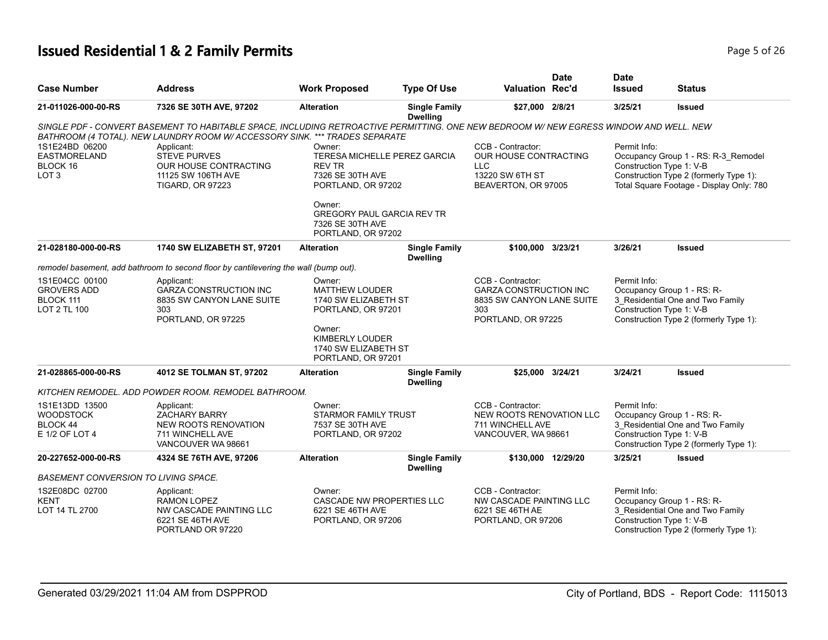# **Issued Residential 1 & 2 Family Permits Page 1 and 26 and 26 and 26 and 26 and 26 and 26 and 26 and 26 and 26 and 26 and 26 and 26 and 26 and 26 and 26 and 26 and 26 and 26 and 26 and 26 and 26 and 26 and 26 and 26 and**

| <b>Case Number</b>                                                    | <b>Address</b>                                                                                                                                                                                    | <b>Work Proposed</b>                                                                              | <b>Type Of Use</b>                      | <b>Valuation Rec'd</b>                                                                                       | <b>Date</b> | <b>Date</b><br><b>Issued</b>             | <b>Status</b>                                                                                                             |
|-----------------------------------------------------------------------|---------------------------------------------------------------------------------------------------------------------------------------------------------------------------------------------------|---------------------------------------------------------------------------------------------------|-----------------------------------------|--------------------------------------------------------------------------------------------------------------|-------------|------------------------------------------|---------------------------------------------------------------------------------------------------------------------------|
| 21-011026-000-00-RS                                                   | 7326 SE 30TH AVE, 97202                                                                                                                                                                           | <b>Alteration</b>                                                                                 | <b>Single Family</b><br><b>Dwelling</b> | \$27,000 2/8/21                                                                                              |             | 3/25/21                                  | <b>Issued</b>                                                                                                             |
|                                                                       | SINGLE PDF - CONVERT BASEMENT TO HABITABLE SPACE, INCLUDING RETROACTIVE PERMITTING. ONE NEW BEDROOM W/ NEW EGRESS WINDOW AND WELL. NEW<br>BATHROOM (4 TOTAL). NEW LAUNDRY ROOM W/ ACCESSORY SINK. | *** TRADES SEPARATE                                                                               |                                         |                                                                                                              |             |                                          |                                                                                                                           |
| 1S1E24BD 06200<br><b>EASTMORELAND</b><br>BLOCK 16<br>LOT <sub>3</sub> | Applicant:<br><b>STEVE PURVES</b><br>OUR HOUSE CONTRACTING<br>11125 SW 106TH AVE<br><b>TIGARD, OR 97223</b>                                                                                       | Owner:<br>TERESA MICHELLE PEREZ GARCIA<br><b>REV TR</b><br>7326 SE 30TH AVE<br>PORTLAND, OR 97202 |                                         | CCB - Contractor:<br>OUR HOUSE CONTRACTING<br><b>LLC</b><br>13220 SW 6TH ST<br>BEAVERTON, OR 97005           |             | Permit Info:<br>Construction Type 1: V-B | Occupancy Group 1 - RS: R-3_Remodel<br>Construction Type 2 (formerly Type 1):<br>Total Square Footage - Display Only: 780 |
|                                                                       |                                                                                                                                                                                                   | Owner:<br><b>GREGORY PAUL GARCIA REV TR</b><br>7326 SE 30TH AVE<br>PORTLAND, OR 97202             |                                         |                                                                                                              |             |                                          |                                                                                                                           |
| 21-028180-000-00-RS                                                   | 1740 SW ELIZABETH ST, 97201                                                                                                                                                                       | <b>Alteration</b>                                                                                 | <b>Single Family</b><br><b>Dwelling</b> | \$100,000 3/23/21                                                                                            |             | 3/26/21                                  | <b>Issued</b>                                                                                                             |
|                                                                       | remodel basement, add bathroom to second floor by cantilevering the wall (bump out).                                                                                                              |                                                                                                   |                                         |                                                                                                              |             |                                          |                                                                                                                           |
| 1S1E04CC 00100<br><b>GROVERS ADD</b><br>BLOCK 111<br>LOT 2 TL 100     | Applicant:<br><b>GARZA CONSTRUCTION INC</b><br>8835 SW CANYON LANE SUITE<br>303<br>PORTLAND, OR 97225                                                                                             | Owner:<br>MATTHEW LOUDER<br>1740 SW ELIZABETH ST<br>PORTLAND, OR 97201                            |                                         | CCB - Contractor:<br><b>GARZA CONSTRUCTION INC</b><br>8835 SW CANYON LANE SUITE<br>303<br>PORTLAND, OR 97225 |             | Permit Info:<br>Construction Type 1: V-B | Occupancy Group 1 - RS: R-<br>3 Residential One and Two Family<br>Construction Type 2 (formerly Type 1):                  |
|                                                                       |                                                                                                                                                                                                   | Owner:<br><b>KIMBERLY LOUDER</b><br>1740 SW ELIZABETH ST<br>PORTLAND, OR 97201                    |                                         |                                                                                                              |             |                                          |                                                                                                                           |
| 21-028865-000-00-RS                                                   | 4012 SE TOLMAN ST, 97202                                                                                                                                                                          | <b>Alteration</b>                                                                                 | <b>Single Family</b><br><b>Dwelling</b> | \$25,000 3/24/21                                                                                             |             | 3/24/21                                  | <b>Issued</b>                                                                                                             |
|                                                                       | KITCHEN REMODEL. ADD POWDER ROOM. REMODEL BATHROOM.                                                                                                                                               |                                                                                                   |                                         |                                                                                                              |             |                                          |                                                                                                                           |
| 1S1E13DD 13500<br><b>WOODSTOCK</b><br>BLOCK 44<br>E 1/2 OF LOT 4      | Applicant:<br>ZACHARY BARRY<br>NEW ROOTS RENOVATION<br>711 WINCHELL AVE<br>VANCOUVER WA 98661                                                                                                     | Owner:<br><b>STARMOR FAMILY TRUST</b><br>7537 SE 30TH AVE<br>PORTLAND, OR 97202                   |                                         | CCB - Contractor:<br>NEW ROOTS RENOVATION LLC<br>711 WINCHELL AVE<br>VANCOUVER, WA 98661                     |             | Permit Info:<br>Construction Type 1: V-B | Occupancy Group 1 - RS: R-<br>3_Residential One and Two Family<br>Construction Type 2 (formerly Type 1):                  |
| 20-227652-000-00-RS                                                   | 4324 SE 76TH AVE, 97206                                                                                                                                                                           | <b>Alteration</b>                                                                                 | <b>Single Family</b><br><b>Dwelling</b> | \$130,000 12/29/20                                                                                           |             | 3/25/21                                  | <b>Issued</b>                                                                                                             |
| BASEMENT CONVERSION TO LIVING SPACE.                                  |                                                                                                                                                                                                   |                                                                                                   |                                         |                                                                                                              |             |                                          |                                                                                                                           |
| 1S2E08DC 02700<br><b>KENT</b><br>LOT 14 TL 2700                       | Applicant:<br><b>RAMON LOPEZ</b><br>NW CASCADE PAINTING LLC<br>6221 SE 46TH AVE<br>PORTLAND OR 97220                                                                                              | Owner:<br><b>CASCADE NW PROPERTIES LLC</b><br>6221 SE 46TH AVE<br>PORTLAND, OR 97206              |                                         | CCB - Contractor:<br>NW CASCADE PAINTING LLC<br>6221 SE 46TH AE<br>PORTLAND, OR 97206                        |             | Permit Info:<br>Construction Type 1: V-B | Occupancy Group 1 - RS: R-<br>3 Residential One and Two Family<br>Construction Type 2 (formerly Type 1):                  |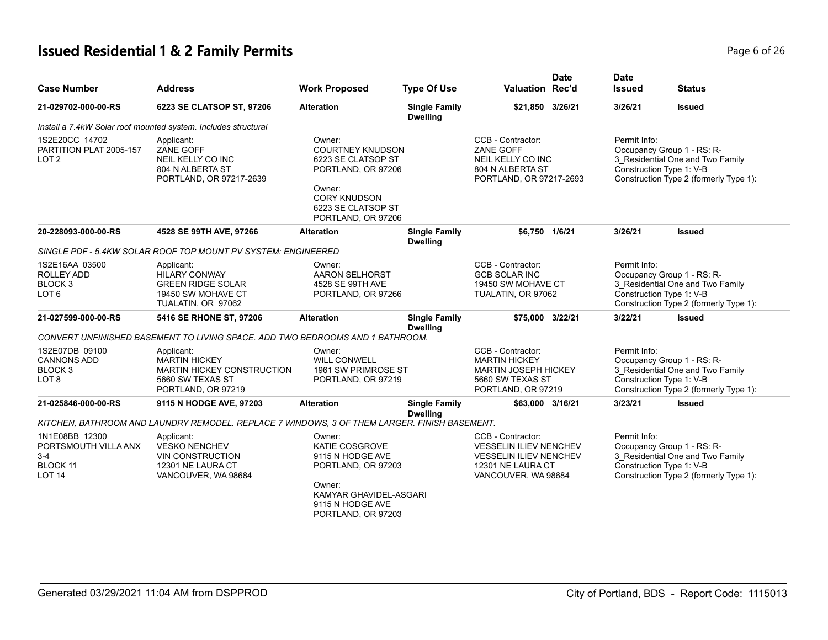# **Issued Residential 1 & 2 Family Permits Page 1 and 26 and 26 and 26 and 26 and 26 and 26 and 26 and 26 and 26 and 26 and 26 and 26 and 26 and 26 and 26 and 26 and 26 and 26 and 26 and 26 and 26 and 26 and 26 and 26 and**

| <b>Case Number</b>                                                                    | <b>Address</b>                                                                                                    | <b>Work Proposed</b>                                                                                                                                       | <b>Type Of Use</b>                      | <b>Valuation Rec'd</b>                                                                                                          | <b>Date</b> | <b>Date</b><br><b>Issued</b>             | <b>Status</b>                                                                                            |
|---------------------------------------------------------------------------------------|-------------------------------------------------------------------------------------------------------------------|------------------------------------------------------------------------------------------------------------------------------------------------------------|-----------------------------------------|---------------------------------------------------------------------------------------------------------------------------------|-------------|------------------------------------------|----------------------------------------------------------------------------------------------------------|
| 21-029702-000-00-RS                                                                   | 6223 SE CLATSOP ST, 97206                                                                                         | <b>Alteration</b>                                                                                                                                          | <b>Single Family</b><br><b>Dwelling</b> | \$21,850                                                                                                                        | 3/26/21     | 3/26/21                                  | <b>Issued</b>                                                                                            |
|                                                                                       | Install a 7.4kW Solar roof mounted system. Includes structural                                                    |                                                                                                                                                            |                                         |                                                                                                                                 |             |                                          |                                                                                                          |
| 1S2E20CC 14702<br>PARTITION PLAT 2005-157<br>LOT <sub>2</sub>                         | Applicant:<br>ZANE GOFF<br>NEIL KELLY CO INC<br>804 N ALBERTA ST<br>PORTLAND, OR 97217-2639                       | Owner:<br><b>COURTNEY KNUDSON</b><br>6223 SE CLATSOP ST<br>PORTLAND, OR 97206<br>Owner:<br><b>CORY KNUDSON</b><br>6223 SE CLATSOP ST<br>PORTLAND, OR 97206 |                                         | CCB - Contractor:<br>ZANE GOFF<br>NEIL KELLY CO INC<br>804 N ALBERTA ST<br>PORTLAND, OR 97217-2693                              |             | Permit Info:<br>Construction Type 1: V-B | Occupancy Group 1 - RS: R-<br>3 Residential One and Two Family<br>Construction Type 2 (formerly Type 1): |
| 20-228093-000-00-RS                                                                   | 4528 SE 99TH AVE, 97266                                                                                           | <b>Alteration</b>                                                                                                                                          | <b>Single Family</b><br><b>Dwelling</b> | \$6,750 1/6/21                                                                                                                  |             | 3/26/21                                  | <b>Issued</b>                                                                                            |
|                                                                                       | SINGLE PDF - 5.4KW SOLAR ROOF TOP MOUNT PV SYSTEM: ENGINEERED                                                     |                                                                                                                                                            |                                         |                                                                                                                                 |             |                                          |                                                                                                          |
| 1S2E16AA 03500<br><b>ROLLEY ADD</b><br>BLOCK 3<br>LOT 6                               | Applicant:<br><b>HILARY CONWAY</b><br><b>GREEN RIDGE SOLAR</b><br>19450 SW MOHAVE CT<br>TUALATIN, OR 97062        | Owner:<br><b>AARON SELHORST</b><br>4528 SE 99TH AVE<br>PORTLAND, OR 97266                                                                                  |                                         | CCB - Contractor:<br><b>GCB SOLAR INC</b><br>19450 SW MOHAVE CT<br>TUALATIN, OR 97062                                           |             | Permit Info:<br>Construction Type 1: V-B | Occupancy Group 1 - RS: R-<br>3 Residential One and Two Family<br>Construction Type 2 (formerly Type 1): |
| 21-027599-000-00-RS                                                                   | 5416 SE RHONE ST, 97206                                                                                           | <b>Alteration</b>                                                                                                                                          | <b>Single Family</b><br><b>Dwelling</b> | \$75.000                                                                                                                        | 3/22/21     | 3/22/21                                  | <b>Issued</b>                                                                                            |
|                                                                                       | CONVERT UNFINISHED BASEMENT TO LIVING SPACE. ADD TWO BEDROOMS AND 1 BATHROOM.                                     |                                                                                                                                                            |                                         |                                                                                                                                 |             |                                          |                                                                                                          |
| 1S2E07DB 09100<br><b>CANNONS ADD</b><br>BLOCK 3<br>LOT 8                              | Applicant:<br><b>MARTIN HICKEY</b><br><b>MARTIN HICKEY CONSTRUCTION</b><br>5660 SW TEXAS ST<br>PORTLAND, OR 97219 | Owner:<br><b>WILL CONWELL</b><br>1961 SW PRIMROSE ST<br>PORTLAND, OR 97219                                                                                 |                                         | CCB - Contractor:<br><b>MARTIN HICKEY</b><br><b>MARTIN JOSEPH HICKEY</b><br>5660 SW TEXAS ST<br>PORTLAND, OR 97219              |             | Permit Info:<br>Construction Type 1: V-B | Occupancy Group 1 - RS: R-<br>3_Residential One and Two Family<br>Construction Type 2 (formerly Type 1): |
| 21-025846-000-00-RS                                                                   | 9115 N HODGE AVE, 97203                                                                                           | <b>Alteration</b>                                                                                                                                          | <b>Single Family</b><br><b>Dwelling</b> | \$63,000 3/16/21                                                                                                                |             | 3/23/21                                  | <b>Issued</b>                                                                                            |
|                                                                                       | KITCHEN, BATHROOM AND LAUNDRY REMODEL. REPLACE 7 WINDOWS, 3 OF THEM LARGER. FINISH BASEMENT.                      |                                                                                                                                                            |                                         |                                                                                                                                 |             |                                          |                                                                                                          |
| 1N1E08BB 12300<br>PORTSMOUTH VILLA ANX<br>$3 - 4$<br><b>BLOCK 11</b><br><b>LOT 14</b> | Applicant:<br><b>VESKO NENCHEV</b><br><b>VIN CONSTRUCTION</b><br>12301 NE LAURA CT<br>VANCOUVER, WA 98684         | Owner:<br><b>KATIE COSGROVE</b><br>9115 N HODGE AVE<br>PORTLAND, OR 97203<br>Owner:<br>KAMYAR GHAVIDEL-ASGARI<br>9115 N HODGE AVE<br>PORTLAND, OR 97203    |                                         | CCB - Contractor:<br><b>VESSELIN ILIEV NENCHEV</b><br><b>VESSELIN ILIEV NENCHEV</b><br>12301 NE LAURA CT<br>VANCOUVER, WA 98684 |             | Permit Info:<br>Construction Type 1: V-B | Occupancy Group 1 - RS: R-<br>3_Residential One and Two Family<br>Construction Type 2 (formerly Type 1): |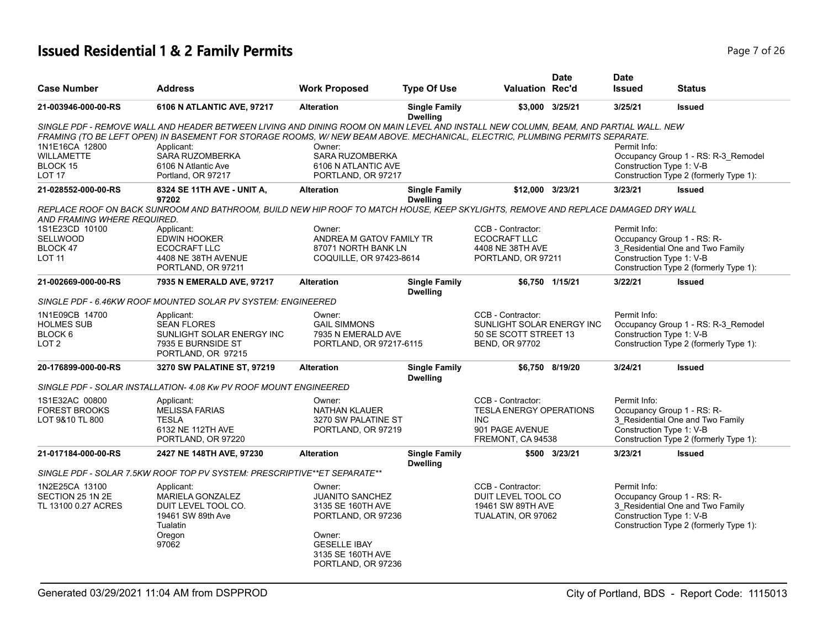# **Issued Residential 1 & 2 Family Permits Page 7 of 26** 26 26

| <b>Case Number</b>                                                 | <b>Address</b>                                                                                                                                                                                                                                                      | <b>Work Proposed</b>                                                           | <b>Type Of Use</b>                      | <b>Valuation Rec'd</b>                                                                           | <b>Date</b>     | <b>Date</b><br><b>Issued</b>             | <b>Status</b>                                                                 |
|--------------------------------------------------------------------|---------------------------------------------------------------------------------------------------------------------------------------------------------------------------------------------------------------------------------------------------------------------|--------------------------------------------------------------------------------|-----------------------------------------|--------------------------------------------------------------------------------------------------|-----------------|------------------------------------------|-------------------------------------------------------------------------------|
| 21-003946-000-00-RS                                                | 6106 N ATLANTIC AVE, 97217                                                                                                                                                                                                                                          | <b>Alteration</b>                                                              | <b>Single Family</b><br><b>Dwelling</b> | \$3,000 3/25/21                                                                                  |                 | 3/25/21                                  | <b>Issued</b>                                                                 |
|                                                                    | SINGLE PDF - REMOVE WALL AND HEADER BETWEEN LIVING AND DINING ROOM ON MAIN LEVEL AND INSTALL NEW COLUMN, BEAM, AND PARTIAL WALL. NEW<br>FRAMING (TO BE LEFT OPEN) IN BASEMENT FOR STORAGE ROOMS, W/NEW BEAM ABOVE. MECHANICAL, ELECTRIC, PLUMBING PERMITS SEPARATE. |                                                                                |                                         |                                                                                                  |                 |                                          |                                                                               |
| 1N1E16CA 12800                                                     | Applicant:                                                                                                                                                                                                                                                          | Owner:                                                                         |                                         |                                                                                                  |                 | Permit Info:                             |                                                                               |
| <b>WILLAMETTE</b>                                                  | <b>SARA RUZOMBERKA</b>                                                                                                                                                                                                                                              | <b>SARA RUZOMBERKA</b>                                                         |                                         |                                                                                                  |                 |                                          | Occupancy Group 1 - RS: R-3 Remodel                                           |
| BLOCK 15<br><b>LOT 17</b>                                          | 6106 N Atlantic Ave<br>Portland, OR 97217                                                                                                                                                                                                                           | 6106 N ATLANTIC AVE<br>PORTLAND, OR 97217                                      |                                         |                                                                                                  |                 | Construction Type 1: V-B                 | Construction Type 2 (formerly Type 1):                                        |
|                                                                    |                                                                                                                                                                                                                                                                     |                                                                                |                                         |                                                                                                  |                 |                                          |                                                                               |
| 21-028552-000-00-RS                                                | 8324 SE 11TH AVE - UNIT A,<br>97202                                                                                                                                                                                                                                 | <b>Alteration</b>                                                              | <b>Single Family</b><br><b>Dwelling</b> | \$12,000 3/23/21                                                                                 |                 | 3/23/21                                  | <b>Issued</b>                                                                 |
| AND FRAMING WHERE REQUIRED.                                        | REPLACE ROOF ON BACK SUNROOM AND BATHROOM, BUILD NEW HIP ROOF TO MATCH HOUSE, KEEP SKYLIGHTS, REMOVE AND REPLACE DAMAGED DRY WALL                                                                                                                                   |                                                                                |                                         |                                                                                                  |                 |                                          |                                                                               |
| 1S1E23CD 10100                                                     | Applicant:                                                                                                                                                                                                                                                          | Owner:                                                                         |                                         | CCB - Contractor:                                                                                |                 | Permit Info:                             |                                                                               |
| <b>SELLWOOD</b>                                                    | <b>EDWIN HOOKER</b>                                                                                                                                                                                                                                                 | ANDREA M GATOV FAMILY TR                                                       |                                         | <b>ECOCRAFT LLC</b>                                                                              |                 |                                          | Occupancy Group 1 - RS: R-                                                    |
| BLOCK 47<br><b>LOT 11</b>                                          | ECOCRAFT LLC<br>4408 NE 38TH AVENUE                                                                                                                                                                                                                                 | 87071 NORTH BANK LN<br>COQUILLE, OR 97423-8614                                 |                                         | 4408 NE 38TH AVE<br>PORTLAND, OR 97211                                                           |                 | Construction Type 1: V-B                 | 3_Residential One and Two Family                                              |
|                                                                    | PORTLAND, OR 97211                                                                                                                                                                                                                                                  |                                                                                |                                         |                                                                                                  |                 |                                          | Construction Type 2 (formerly Type 1):                                        |
| 21-002669-000-00-RS                                                | 7935 N EMERALD AVE, 97217                                                                                                                                                                                                                                           | <b>Alteration</b>                                                              | <b>Single Family</b><br><b>Dwelling</b> |                                                                                                  | \$6,750 1/15/21 | 3/22/21                                  | <b>Issued</b>                                                                 |
|                                                                    | SINGLE PDF - 6.46KW ROOF MOUNTED SOLAR PV SYSTEM: ENGINEERED                                                                                                                                                                                                        |                                                                                |                                         |                                                                                                  |                 |                                          |                                                                               |
| 1N1E09CB 14700<br><b>HOLMES SUB</b><br>BLOCK 6<br>LOT <sub>2</sub> | Applicant:<br><b>SEAN FLORES</b><br>SUNLIGHT SOLAR ENERGY INC<br>7935 E BURNSIDE ST<br>PORTLAND, OR 97215                                                                                                                                                           | Owner:<br><b>GAIL SIMMONS</b><br>7935 N EMERALD AVE<br>PORTLAND, OR 97217-6115 |                                         | CCB - Contractor:<br>SUNLIGHT SOLAR ENERGY INC<br>50 SE SCOTT STREET 13<br><b>BEND, OR 97702</b> |                 | Permit Info:<br>Construction Type 1: V-B | Occupancy Group 1 - RS: R-3_Remodel<br>Construction Type 2 (formerly Type 1): |
| 20-176899-000-00-RS                                                | 3270 SW PALATINE ST, 97219                                                                                                                                                                                                                                          | <b>Alteration</b>                                                              | <b>Single Family</b>                    |                                                                                                  | \$6,750 8/19/20 | 3/24/21                                  | <b>Issued</b>                                                                 |
|                                                                    | SINGLE PDF - SOLAR INSTALLATION- 4.08 Kw PV ROOF MOUNT ENGINEERED                                                                                                                                                                                                   |                                                                                | <b>Dwelling</b>                         |                                                                                                  |                 |                                          |                                                                               |
| 1S1E32AC 00800                                                     | Applicant:                                                                                                                                                                                                                                                          | Owner:                                                                         |                                         | CCB - Contractor:                                                                                |                 | Permit Info:                             |                                                                               |
| <b>FOREST BROOKS</b>                                               | <b>MELISSA FARIAS</b>                                                                                                                                                                                                                                               | <b>NATHAN KLAUER</b>                                                           |                                         | <b>TESLA ENERGY OPERATIONS</b>                                                                   |                 |                                          | Occupancy Group 1 - RS: R-                                                    |
| LOT 9&10 TL 800                                                    | <b>TESLA</b>                                                                                                                                                                                                                                                        | 3270 SW PALATINE ST                                                            |                                         | INC.                                                                                             |                 |                                          | 3_Residential One and Two Family                                              |
|                                                                    | 6132 NE 112TH AVE<br>PORTLAND, OR 97220                                                                                                                                                                                                                             | PORTLAND, OR 97219                                                             |                                         | 901 PAGE AVENUE<br>FREMONT, CA 94538                                                             |                 | Construction Type 1: V-B                 | Construction Type 2 (formerly Type 1):                                        |
| 21-017184-000-00-RS                                                | 2427 NE 148TH AVE, 97230                                                                                                                                                                                                                                            | <b>Alteration</b>                                                              | <b>Single Family</b><br><b>Dwelling</b> |                                                                                                  | \$500 3/23/21   | 3/23/21                                  | <b>Issued</b>                                                                 |
|                                                                    | SINGLE PDF - SOLAR 7.5KW ROOF TOP PV SYSTEM: PRESCRIPTIVE**ET SEPARATE**                                                                                                                                                                                            |                                                                                |                                         |                                                                                                  |                 |                                          |                                                                               |
| 1N2E25CA 13100                                                     | Applicant:                                                                                                                                                                                                                                                          | Owner:                                                                         |                                         | CCB - Contractor:                                                                                |                 | Permit Info:                             |                                                                               |
| SECTION 25 1N 2E                                                   | <b>MARIELA GONZALEZ</b>                                                                                                                                                                                                                                             | <b>JUANITO SANCHEZ</b>                                                         |                                         | DUIT LEVEL TOOL CO                                                                               |                 |                                          | Occupancy Group 1 - RS: R-                                                    |
| TL 13100 0.27 ACRES                                                | DUIT LEVEL TOOL CO.<br>19461 SW 89th Ave                                                                                                                                                                                                                            | 3135 SE 160TH AVE                                                              |                                         | 19461 SW 89TH AVE                                                                                |                 | Construction Type 1: V-B                 | 3_Residential One and Two Family                                              |
|                                                                    | Tualatin                                                                                                                                                                                                                                                            | PORTLAND, OR 97236                                                             |                                         | TUALATIN, OR 97062                                                                               |                 |                                          | Construction Type 2 (formerly Type 1):                                        |
|                                                                    | Oregon                                                                                                                                                                                                                                                              | Owner:                                                                         |                                         |                                                                                                  |                 |                                          |                                                                               |
|                                                                    | 97062                                                                                                                                                                                                                                                               | <b>GESELLE IBAY</b>                                                            |                                         |                                                                                                  |                 |                                          |                                                                               |
|                                                                    |                                                                                                                                                                                                                                                                     | 3135 SE 160TH AVE                                                              |                                         |                                                                                                  |                 |                                          |                                                                               |
|                                                                    |                                                                                                                                                                                                                                                                     | PORTLAND, OR 97236                                                             |                                         |                                                                                                  |                 |                                          |                                                                               |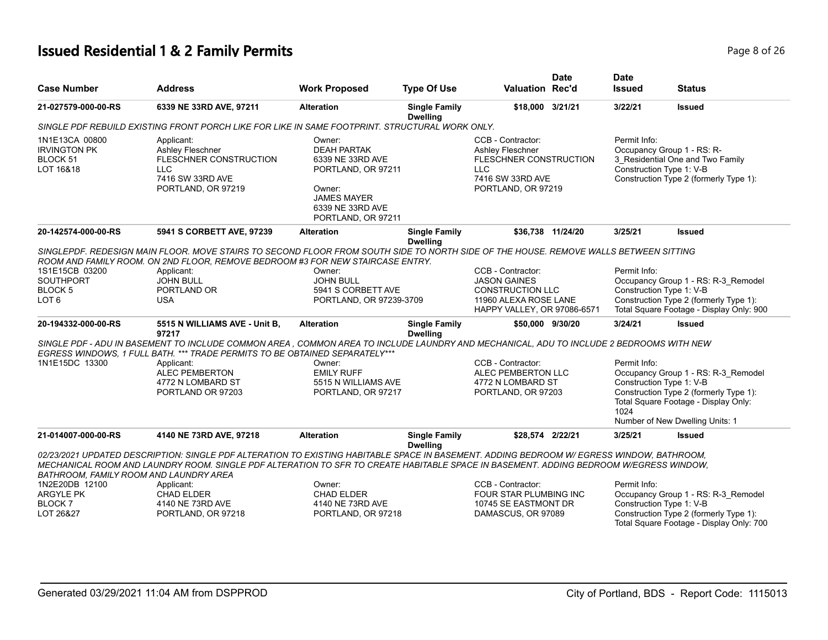# **Issued Residential 1 & 2 Family Permits Page 8 of 26 Page 8 of 26**

| <b>Case Number</b>                                             | <b>Address</b>                                                                                                                                                                                                                                                                     | <b>Work Proposed</b>                                                                                                                             | <b>Type Of Use</b>                      | <b>Valuation Rec'd</b>                                                                                                  | <b>Date</b> | <b>Date</b><br><b>Issued</b> | <b>Status</b>                                                                                                                                 |
|----------------------------------------------------------------|------------------------------------------------------------------------------------------------------------------------------------------------------------------------------------------------------------------------------------------------------------------------------------|--------------------------------------------------------------------------------------------------------------------------------------------------|-----------------------------------------|-------------------------------------------------------------------------------------------------------------------------|-------------|------------------------------|-----------------------------------------------------------------------------------------------------------------------------------------------|
| 21-027579-000-00-RS                                            | 6339 NE 33RD AVE, 97211                                                                                                                                                                                                                                                            | <b>Alteration</b>                                                                                                                                | <b>Single Family</b><br><b>Dwelling</b> | \$18,000 3/21/21                                                                                                        |             | 3/22/21                      | <b>Issued</b>                                                                                                                                 |
|                                                                | SINGLE PDF REBUILD EXISTING FRONT PORCH LIKE FOR LIKE IN SAME FOOTPRINT. STRUCTURAL WORK ONLY.                                                                                                                                                                                     |                                                                                                                                                  |                                         |                                                                                                                         |             |                              |                                                                                                                                               |
| 1N1E13CA 00800<br><b>IRVINGTON PK</b><br>BLOCK 51<br>LOT 16&18 | Applicant:<br>Ashley Fleschner<br>FLESCHNER CONSTRUCTION<br><b>LLC</b><br>7416 SW 33RD AVE<br>PORTLAND, OR 97219                                                                                                                                                                   | Owner:<br><b>DEAH PARTAK</b><br>6339 NE 33RD AVE<br>PORTLAND, OR 97211<br>Owner:<br><b>JAMES MAYER</b><br>6339 NE 33RD AVE<br>PORTLAND, OR 97211 |                                         | CCB - Contractor:<br>Ashley Fleschner<br>FLESCHNER CONSTRUCTION<br><b>LLC</b><br>7416 SW 33RD AVE<br>PORTLAND, OR 97219 |             | Permit Info:                 | Occupancy Group 1 - RS: R-<br>3_Residential One and Two Family<br>Construction Type 1: V-B<br>Construction Type 2 (formerly Type 1):          |
| 20-142574-000-00-RS                                            | 5941 S CORBETT AVE, 97239                                                                                                                                                                                                                                                          | <b>Alteration</b>                                                                                                                                | <b>Single Family</b><br><b>Dwelling</b> | \$36,738 11/24/20                                                                                                       |             | 3/25/21                      | <b>Issued</b>                                                                                                                                 |
|                                                                | SINGLEPDF. REDESIGN MAIN FLOOR. MOVE STAIRS TO SECOND FLOOR FROM SOUTH SIDE TO NORTH SIDE OF THE HOUSE. REMOVE WALLS BETWEEN SITTING<br>ROOM AND FAMILY ROOM. ON 2ND FLOOR, REMOVE BEDROOM #3 FOR NEW STAIRCASE ENTRY.                                                             |                                                                                                                                                  |                                         |                                                                                                                         |             |                              |                                                                                                                                               |
| 1S1E15CB 03200                                                 | Applicant:                                                                                                                                                                                                                                                                         | Owner:                                                                                                                                           |                                         | CCB - Contractor:                                                                                                       |             | Permit Info:                 |                                                                                                                                               |
| SOUTHPORT                                                      | <b>JOHN BULL</b>                                                                                                                                                                                                                                                                   | <b>JOHN BULL</b>                                                                                                                                 |                                         | <b>JASON GAINES</b>                                                                                                     |             |                              | Occupancy Group 1 - RS: R-3_Remodel                                                                                                           |
| BLOCK 5                                                        | PORTLAND OR                                                                                                                                                                                                                                                                        | 5941 S CORBETT AVE                                                                                                                               |                                         | <b>CONSTRUCTION LLC</b>                                                                                                 |             |                              | Construction Type 1: V-B                                                                                                                      |
| LOT <sub>6</sub>                                               | <b>USA</b>                                                                                                                                                                                                                                                                         | PORTLAND, OR 97239-3709                                                                                                                          |                                         | 11960 ALEXA ROSE LANE<br>HAPPY VALLEY, OR 97086-6571                                                                    |             |                              | Construction Type 2 (formerly Type 1):<br>Total Square Footage - Display Only: 900                                                            |
| 20-194332-000-00-RS                                            | 5515 N WILLIAMS AVE - Unit B,<br>97217                                                                                                                                                                                                                                             | <b>Alteration</b>                                                                                                                                | <b>Single Family</b><br><b>Dwelling</b> | \$50,000 9/30/20                                                                                                        |             | 3/24/21                      | <b>Issued</b>                                                                                                                                 |
|                                                                | SINGLE PDF - ADU IN BASEMENT TO INCLUDE COMMON AREA, COMMON AREA TO INCLUDE LAUNDRY AND MECHANICAL, ADU TO INCLUDE 2 BEDROOMS WITH NEW<br>EGRESS WINDOWS. 1 FULL BATH. *** TRADE PERMITS TO BE OBTAINED SEPARATELY***                                                              |                                                                                                                                                  |                                         |                                                                                                                         |             |                              |                                                                                                                                               |
| 1N1E15DC 13300                                                 | Applicant:                                                                                                                                                                                                                                                                         | Owner:                                                                                                                                           |                                         | CCB - Contractor:                                                                                                       |             | Permit Info:                 |                                                                                                                                               |
|                                                                | <b>ALEC PEMBERTON</b>                                                                                                                                                                                                                                                              | <b>EMILY RUFF</b>                                                                                                                                |                                         | ALEC PEMBERTON LLC                                                                                                      |             |                              | Occupancy Group 1 - RS: R-3_Remodel                                                                                                           |
|                                                                | 4772 N LOMBARD ST<br>PORTLAND OR 97203                                                                                                                                                                                                                                             | 5515 N WILLIAMS AVE<br>PORTLAND, OR 97217                                                                                                        |                                         | 4772 N LOMBARD ST<br>PORTLAND, OR 97203                                                                                 |             | 1024                         | Construction Type 1: V-B<br>Construction Type 2 (formerly Type 1):<br>Total Square Footage - Display Only:<br>Number of New Dwelling Units: 1 |
| 21-014007-000-00-RS                                            | 4140 NE 73RD AVE, 97218                                                                                                                                                                                                                                                            | <b>Alteration</b>                                                                                                                                | <b>Single Family</b>                    | \$28,574 2/22/21                                                                                                        |             | 3/25/21                      | <b>Issued</b>                                                                                                                                 |
| BATHROOM, FAMILY ROOM AND LAUNDRY AREA                         | 02/23/2021 UPDATED DESCRIPTION: SINGLE PDF ALTERATION TO EXISTING HABITABLE SPACE IN BASEMENT. ADDING BEDROOM W/ EGRESS WINDOW, BATHROOM,<br>MECHANICAL ROOM AND LAUNDRY ROOM. SINGLE PDF ALTERATION TO SFR TO CREATE HABITABLE SPACE IN BASEMENT. ADDING BEDROOM W/EGRESS WINDOW. |                                                                                                                                                  | <b>Dwelling</b>                         |                                                                                                                         |             |                              |                                                                                                                                               |
| 1N2E20DB 12100                                                 | Applicant:                                                                                                                                                                                                                                                                         | Owner:                                                                                                                                           |                                         | CCB - Contractor:                                                                                                       |             | Permit Info:                 |                                                                                                                                               |
| ARGYLE PK                                                      | <b>CHAD ELDER</b>                                                                                                                                                                                                                                                                  | CHAD ELDER                                                                                                                                       |                                         | FOUR STAR PLUMBING INC                                                                                                  |             |                              | Occupancy Group 1 - RS: R-3_Remodel                                                                                                           |
| <b>BLOCK7</b>                                                  | 4140 NE 73RD AVE                                                                                                                                                                                                                                                                   | 4140 NE 73RD AVE                                                                                                                                 |                                         | 10745 SE EASTMONT DR                                                                                                    |             |                              | Construction Type 1: V-B                                                                                                                      |
| LOT 26&27                                                      | PORTLAND, OR 97218                                                                                                                                                                                                                                                                 | PORTLAND, OR 97218                                                                                                                               |                                         | DAMASCUS, OR 97089                                                                                                      |             |                              | Construction Type 2 (formerly Type 1):<br>Total Square Footage - Display Only: 700                                                            |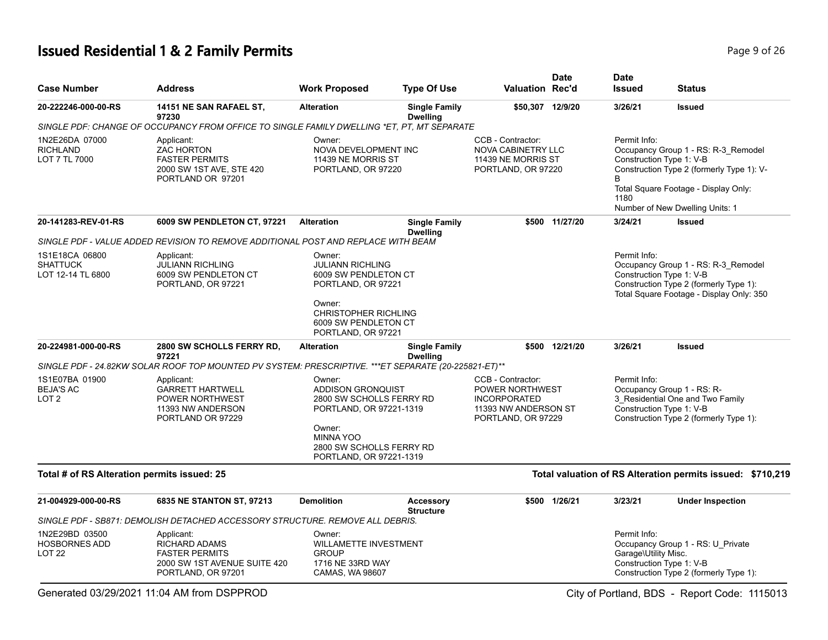# **Issued Residential 1 & 2 Family Permits Page 1 and 26 and 26 and 26 and 26 and 26 and 26 and 26 and 26 and 26 and 26 and 26 and 26 and 26 and 26 and 26 and 26 and 26 and 26 and 26 and 26 and 26 and 26 and 26 and 26 and**

| <b>Case Number</b>                                          | <b>Address</b>                                                                                                    | <b>Work Proposed</b>                                                                                                                                                           | <b>Type Of Use</b>                      | <b>Valuation Rec'd</b>                                                                                    | Date           | <b>Date</b><br><b>Issued</b>                                     | <b>Status</b>                                                                                                                                               |
|-------------------------------------------------------------|-------------------------------------------------------------------------------------------------------------------|--------------------------------------------------------------------------------------------------------------------------------------------------------------------------------|-----------------------------------------|-----------------------------------------------------------------------------------------------------------|----------------|------------------------------------------------------------------|-------------------------------------------------------------------------------------------------------------------------------------------------------------|
| 20-222246-000-00-RS                                         | 14151 NE SAN RAFAEL ST,<br>97230                                                                                  | <b>Alteration</b>                                                                                                                                                              | <b>Single Family</b><br><b>Dwelling</b> | \$50,307 12/9/20                                                                                          |                | 3/26/21                                                          | <b>Issued</b>                                                                                                                                               |
|                                                             | SINGLE PDF: CHANGE OF OCCUPANCY FROM OFFICE TO SINGLE FAMILY DWELLING *ET. PT. MT SEPARATE                        |                                                                                                                                                                                |                                         |                                                                                                           |                |                                                                  |                                                                                                                                                             |
| 1N2E26DA 07000<br><b>RICHLAND</b><br>LOT 7 TL 7000          | Applicant:<br><b>ZAC HORTON</b><br><b>FASTER PERMITS</b><br>2000 SW 1ST AVE, STE 420<br>PORTLAND OR 97201         | Owner:<br>NOVA DEVELOPMENT INC<br>11439 NE MORRIS ST<br>PORTLAND, OR 97220                                                                                                     |                                         | CCB - Contractor:<br><b>NOVA CABINETRY LLC</b><br>11439 NE MORRIS ST<br>PORTLAND, OR 97220                |                | Permit Info:<br>Construction Type 1: V-B<br>B<br>1180            | Occupancy Group 1 - RS: R-3_Remodel<br>Construction Type 2 (formerly Type 1): V-<br>Total Square Footage - Display Only:<br>Number of New Dwelling Units: 1 |
| 20-141283-REV-01-RS                                         | 6009 SW PENDLETON CT, 97221                                                                                       | <b>Alteration</b>                                                                                                                                                              | <b>Single Family</b><br><b>Dwelling</b> |                                                                                                           | \$500 11/27/20 | 3/24/21                                                          | <b>Issued</b>                                                                                                                                               |
|                                                             | SINGLE PDF - VALUE ADDED REVISION TO REMOVE ADDITIONAL POST AND REPLACE WITH BEAM                                 |                                                                                                                                                                                |                                         |                                                                                                           |                |                                                                  |                                                                                                                                                             |
| 1S1E18CA 06800<br><b>SHATTUCK</b><br>LOT 12-14 TL 6800      | Applicant:<br><b>JULIANN RICHLING</b><br>6009 SW PENDLETON CT<br>PORTLAND, OR 97221                               | Owner:<br><b>JULIANN RICHLING</b><br>6009 SW PENDLETON CT<br>PORTLAND, OR 97221                                                                                                |                                         |                                                                                                           |                | Permit Info:<br>Construction Type 1: V-B                         | Occupancy Group 1 - RS: R-3 Remodel<br>Construction Type 2 (formerly Type 1):<br>Total Square Footage - Display Only: 350                                   |
|                                                             |                                                                                                                   | Owner:<br><b>CHRISTOPHER RICHLING</b><br>6009 SW PENDLETON CT<br>PORTLAND, OR 97221                                                                                            |                                         |                                                                                                           |                |                                                                  |                                                                                                                                                             |
| 20-224981-000-00-RS                                         | 2800 SW SCHOLLS FERRY RD,<br>97221                                                                                | <b>Alteration</b>                                                                                                                                                              | <b>Single Family</b><br><b>Dwelling</b> |                                                                                                           | \$500 12/21/20 | 3/26/21                                                          | <b>Issued</b>                                                                                                                                               |
|                                                             | SINGLE PDF - 24.82KW SOLAR ROOF TOP MOUNTED PV SYSTEM: PRESCRIPTIVE. ***ET SEPARATE (20-225821-ET)**              |                                                                                                                                                                                |                                         |                                                                                                           |                | Permit Info:                                                     |                                                                                                                                                             |
| 1S1E07BA 01900<br><b>BEJA'S AC</b><br>LOT <sub>2</sub>      | Applicant:<br><b>GARRETT HARTWELL</b><br>POWER NORTHWEST<br>11393 NW ANDERSON<br>PORTLAND OR 97229                | Owner:<br><b>ADDISON GRONQUIST</b><br>2800 SW SCHOLLS FERRY RD<br>PORTLAND, OR 97221-1319<br>Owner:<br><b>MINNA YOO</b><br>2800 SW SCHOLLS FERRY RD<br>PORTLAND, OR 97221-1319 |                                         | CCB - Contractor:<br>POWER NORTHWEST<br><b>INCORPORATED</b><br>11393 NW ANDERSON ST<br>PORTLAND, OR 97229 |                | Construction Type 1: V-B                                         | Occupancy Group 1 - RS: R-<br>3 Residential One and Two Family<br>Construction Type 2 (formerly Type 1):                                                    |
| Total # of RS Alteration permits issued: 25                 |                                                                                                                   |                                                                                                                                                                                |                                         |                                                                                                           |                |                                                                  | Total valuation of RS Alteration permits issued: \$710,219                                                                                                  |
| 21-004929-000-00-RS                                         | 6835 NE STANTON ST, 97213                                                                                         | <b>Demolition</b>                                                                                                                                                              | <b>Accessory</b><br><b>Structure</b>    |                                                                                                           | \$500 1/26/21  | 3/23/21                                                          | <b>Under Inspection</b>                                                                                                                                     |
|                                                             | SINGLE PDF - SB871: DEMOLISH DETACHED ACCESSORY STRUCTURE. REMOVE ALL DEBRIS.                                     |                                                                                                                                                                                |                                         |                                                                                                           |                |                                                                  |                                                                                                                                                             |
| 1N2E29BD 03500<br><b>HOSBORNES ADD</b><br>LOT <sub>22</sub> | Applicant:<br><b>RICHARD ADAMS</b><br><b>FASTER PERMITS</b><br>2000 SW 1ST AVENUE SUITE 420<br>PORTLAND, OR 97201 | Owner:<br><b>WILLAMETTE INVESTMENT</b><br><b>GROUP</b><br>1716 NE 33RD WAY<br>CAMAS, WA 98607                                                                                  |                                         |                                                                                                           |                | Permit Info:<br>Garage\Utility Misc.<br>Construction Type 1: V-B | Occupancy Group 1 - RS: U Private<br>Construction Type 2 (formerly Type 1):                                                                                 |

Generated 03/29/2021 11:04 AM from DSPPROD City of Portland, BDS - Report Code: 1115013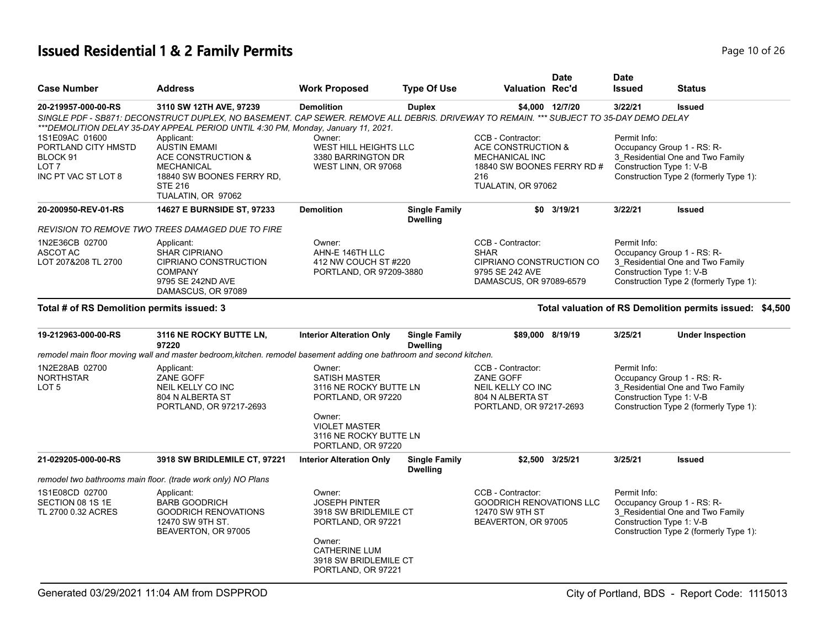| Page 10 of 26 |
|---------------|
|---------------|

| <b>Case Number</b>                                                         | <b>Address</b>                                                                                                                                                                                                                                                         | <b>Work Proposed</b>                                                                                                                                             | <b>Type Of Use</b>                                                                                                                           | <b>Valuation Rec'd</b>                                                                              | <b>Date</b>                                      | <b>Date</b><br><b>Issued</b>                                                                                                                         | <b>Status</b>                                                                                                                        |
|----------------------------------------------------------------------------|------------------------------------------------------------------------------------------------------------------------------------------------------------------------------------------------------------------------------------------------------------------------|------------------------------------------------------------------------------------------------------------------------------------------------------------------|----------------------------------------------------------------------------------------------------------------------------------------------|-----------------------------------------------------------------------------------------------------|--------------------------------------------------|------------------------------------------------------------------------------------------------------------------------------------------------------|--------------------------------------------------------------------------------------------------------------------------------------|
| 20-219957-000-00-RS<br>1S1E09AC 01600                                      | 3110 SW 12TH AVE, 97239<br>SINGLE PDF - SB871: DECONSTRUCT DUPLEX, NO BASEMENT. CAP SEWER. REMOVE ALL DEBRIS. DRIVEWAY TO REMAIN. *** SUBJECT TO 35-DAY DEMO DELAY<br>*** DEMOLITION DELAY 35-DAY APPEAL PERIOD UNTIL 4:30 PM, Monday, January 11, 2021.<br>Applicant: | <b>Demolition</b><br>Owner:                                                                                                                                      | <b>Duplex</b>                                                                                                                                | CCB - Contractor:                                                                                   | \$4,000 12/7/20                                  | 3/22/21<br>Permit Info:                                                                                                                              | <b>Issued</b>                                                                                                                        |
| PORTLAND CITY HMSTD<br>BLOCK 91<br>LOT <sub>7</sub><br>INC PT VAC ST LOT 8 | <b>AUSTIN EMAMI</b><br>ACE CONSTRUCTION &<br><b>MECHANICAL</b><br>18840 SW BOONES FERRY RD,<br><b>STE 216</b><br>TUALATIN, OR 97062                                                                                                                                    | WEST HILL HEIGHTS LLC                                                                                                                                            | 3380 BARRINGTON DR<br><b>MECHANICAL INC</b><br>WEST LINN, OR 97068<br>216<br>TUALATIN, OR 97062<br><b>Single Family</b><br><b>Demolition</b> |                                                                                                     | ACE CONSTRUCTION &<br>18840 SW BOONES FERRY RD # |                                                                                                                                                      | Occupancy Group 1 - RS: R-<br>3_Residential One and Two Family<br>Construction Type 1: V-B<br>Construction Type 2 (formerly Type 1): |
| 20-200950-REV-01-RS                                                        | <b>14627 E BURNSIDE ST, 97233</b>                                                                                                                                                                                                                                      |                                                                                                                                                                  | <b>Dwelling</b>                                                                                                                              |                                                                                                     | \$0 3/19/21                                      | 3/22/21                                                                                                                                              | <b>Issued</b>                                                                                                                        |
| 1N2E36CB 02700<br><b>ASCOT AC</b><br>LOT 207&208 TL 2700                   | REVISION TO REMOVE TWO TREES DAMAGED DUE TO FIRE<br>Applicant:<br><b>SHAR CIPRIANO</b><br><b>CIPRIANO CONSTRUCTION</b><br><b>COMPANY</b><br>9795 SE 242ND AVE<br>DAMASCUS, OR 97089                                                                                    | Owner:<br>AHN-E 146TH LLC<br>412 NW COUCH ST #220<br>PORTLAND, OR 97209-3880                                                                                     |                                                                                                                                              | CCB - Contractor:<br>SHAR<br>CIPRIANO CONSTRUCTION CO<br>9795 SE 242 AVE<br>DAMASCUS, OR 97089-6579 |                                                  | Permit Info:                                                                                                                                         | Occupancy Group 1 - RS: R-<br>3 Residential One and Two Family<br>Construction Type 1: V-B<br>Construction Type 2 (formerly Type 1): |
| Total # of RS Demolition permits issued: 3                                 |                                                                                                                                                                                                                                                                        |                                                                                                                                                                  |                                                                                                                                              |                                                                                                     |                                                  |                                                                                                                                                      | Total valuation of RS Demolition permits issued: \$4,500                                                                             |
| 19-212963-000-00-RS                                                        | 3116 NE ROCKY BUTTE LN,<br>97220                                                                                                                                                                                                                                       | <b>Interior Alteration Only</b>                                                                                                                                  | <b>Single Family</b><br><b>Dwelling</b>                                                                                                      | \$89,000 8/19/19                                                                                    |                                                  | 3/25/21                                                                                                                                              | <b>Under Inspection</b>                                                                                                              |
|                                                                            | remodel main floor moving wall and master bedroom, kitchen. remodel basement adding one bathroom and second kitchen.                                                                                                                                                   |                                                                                                                                                                  |                                                                                                                                              |                                                                                                     |                                                  |                                                                                                                                                      |                                                                                                                                      |
| 1N2E28AB 02700<br><b>NORTHSTAR</b><br>LOT 5                                | Applicant:<br>ZANE GOFF<br>NEIL KELLY CO INC<br>804 N ALBERTA ST<br>PORTLAND, OR 97217-2693                                                                                                                                                                            | Owner:<br><b>SATISH MASTER</b><br>3116 NE ROCKY BUTTE LN<br>PORTLAND, OR 97220<br>Owner:<br><b>VIOLET MASTER</b><br>3116 NE ROCKY BUTTE LN<br>PORTLAND, OR 97220 |                                                                                                                                              | CCB - Contractor:<br>ZANE GOFF<br>NEIL KELLY CO INC<br>804 N ALBERTA ST<br>PORTLAND, OR 97217-2693  |                                                  | Permit Info:<br>Occupancy Group 1 - RS: R-<br>3_Residential One and Two Family<br>Construction Type 1: V-B<br>Construction Type 2 (formerly Type 1): |                                                                                                                                      |
| 21-029205-000-00-RS                                                        | 3918 SW BRIDLEMILE CT, 97221                                                                                                                                                                                                                                           | <b>Interior Alteration Only</b>                                                                                                                                  | <b>Single Family</b><br><b>Dwelling</b>                                                                                                      |                                                                                                     | \$2,500 3/25/21                                  | 3/25/21                                                                                                                                              | <b>Issued</b>                                                                                                                        |
|                                                                            | remodel two bathrooms main floor. (trade work only) NO Plans                                                                                                                                                                                                           |                                                                                                                                                                  |                                                                                                                                              |                                                                                                     |                                                  |                                                                                                                                                      |                                                                                                                                      |
| 1S1E08CD 02700<br>SECTION 08 1S 1E<br>TL 2700 0.32 ACRES                   | Applicant:<br><b>BARB GOODRICH</b><br><b>GOODRICH RENOVATIONS</b><br>12470 SW 9TH ST.<br>BEAVERTON, OR 97005                                                                                                                                                           | Owner:<br><b>JOSEPH PINTER</b><br>3918 SW BRIDLEMILE CT<br>PORTLAND, OR 97221                                                                                    |                                                                                                                                              | CCB - Contractor:<br><b>GOODRICH RENOVATIONS LLC</b><br>12470 SW 9TH ST<br>BEAVERTON, OR 97005      |                                                  | Permit Info:                                                                                                                                         | Occupancy Group 1 - RS: R-<br>3 Residential One and Two Family<br>Construction Type 1: V-B<br>Construction Type 2 (formerly Type 1): |
|                                                                            |                                                                                                                                                                                                                                                                        | Owner:<br><b>CATHERINE LUM</b><br>3918 SW BRIDLEMILE CT<br>PORTLAND, OR 97221                                                                                    |                                                                                                                                              |                                                                                                     |                                                  |                                                                                                                                                      |                                                                                                                                      |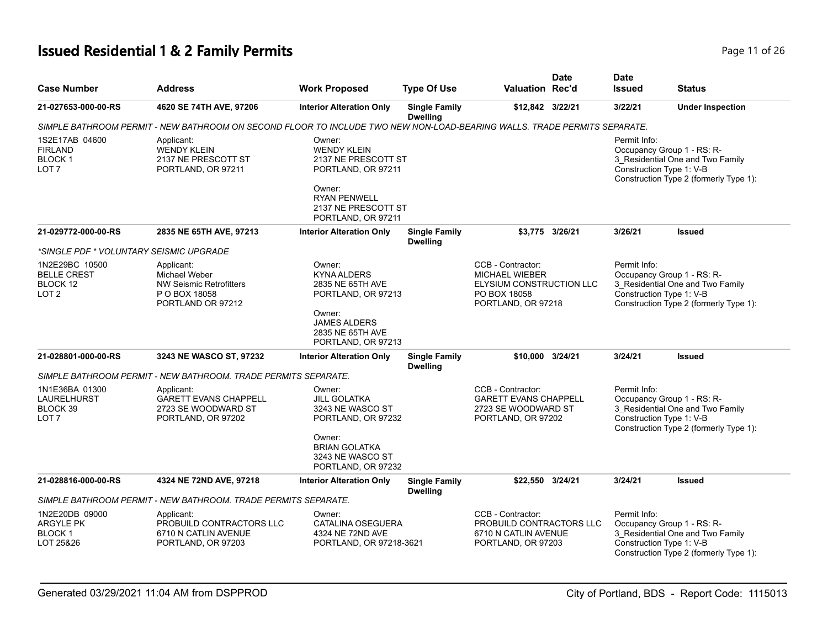# **Issued Residential 1 & 2 Family Permits Page 11 of 26 Page 11 of 26**

| <b>Case Number</b>                                                    | <b>Address</b>                                                                                                           | <b>Work Proposed</b>                                                                                                                                    | <b>Type Of Use</b>                      | <b>Valuation Rec'd</b>                                                                                       | <b>Date</b>     | <b>Date</b><br><b>Issued</b>             | <b>Status</b>                                                                                            |
|-----------------------------------------------------------------------|--------------------------------------------------------------------------------------------------------------------------|---------------------------------------------------------------------------------------------------------------------------------------------------------|-----------------------------------------|--------------------------------------------------------------------------------------------------------------|-----------------|------------------------------------------|----------------------------------------------------------------------------------------------------------|
| 21-027653-000-00-RS                                                   | 4620 SE 74TH AVE, 97206                                                                                                  | <b>Interior Alteration Only</b>                                                                                                                         | <b>Single Family</b><br><b>Dwelling</b> | \$12,842 3/22/21                                                                                             |                 | 3/22/21                                  | <b>Under Inspection</b>                                                                                  |
|                                                                       | SIMPLE BATHROOM PERMIT - NEW BATHROOM ON SECOND FLOOR TO INCLUDE TWO NEW NON-LOAD-BEARING WALLS. TRADE PERMITS SEPARATE. |                                                                                                                                                         |                                         |                                                                                                              |                 |                                          |                                                                                                          |
| 1S2E17AB 04600<br><b>FIRLAND</b><br><b>BLOCK1</b><br>LOT <sub>7</sub> | Applicant:<br>WENDY KLEIN<br>2137 NE PRESCOTT ST<br>PORTLAND, OR 97211                                                   | Owner:<br><b>WENDY KLEIN</b><br>2137 NE PRESCOTT ST<br>PORTLAND, OR 97211<br>Owner:<br><b>RYAN PENWELL</b><br>2137 NE PRESCOTT ST<br>PORTLAND, OR 97211 |                                         |                                                                                                              |                 | Permit Info:<br>Construction Type 1: V-B | Occupancy Group 1 - RS: R-<br>3_Residential One and Two Family<br>Construction Type 2 (formerly Type 1): |
| 21-029772-000-00-RS                                                   | 2835 NE 65TH AVE, 97213                                                                                                  | <b>Interior Alteration Only</b>                                                                                                                         | <b>Single Family</b><br><b>Dwelling</b> |                                                                                                              | \$3,775 3/26/21 | 3/26/21                                  | <b>Issued</b>                                                                                            |
| *SINGLE PDF * VOLUNTARY SEISMIC UPGRADE                               |                                                                                                                          |                                                                                                                                                         |                                         |                                                                                                              |                 |                                          |                                                                                                          |
| 1N2E29BC 10500<br><b>BELLE CREST</b><br>BLOCK 12<br>LOT <sub>2</sub>  | Applicant:<br>Michael Weber<br><b>NW Seismic Retrofitters</b><br>P O BOX 18058<br>PORTLAND OR 97212                      | Owner:<br><b>KYNA ALDERS</b><br>2835 NE 65TH AVE<br>PORTLAND, OR 97213<br>Owner:<br><b>JAMES ALDERS</b><br>2835 NE 65TH AVE                             |                                         | CCB - Contractor:<br><b>MICHAEL WIEBER</b><br>ELYSIUM CONSTRUCTION LLC<br>PO BOX 18058<br>PORTLAND, OR 97218 |                 | Permit Info:<br>Construction Type 1: V-B | Occupancy Group 1 - RS: R-<br>3 Residential One and Two Family<br>Construction Type 2 (formerly Type 1): |
| 21-028801-000-00-RS                                                   | 3243 NE WASCO ST, 97232                                                                                                  | PORTLAND, OR 97213<br><b>Interior Alteration Only</b>                                                                                                   | <b>Single Family</b>                    | \$10,000 3/24/21                                                                                             |                 | 3/24/21                                  | <b>Issued</b>                                                                                            |
|                                                                       | SIMPLE BATHROOM PERMIT - NEW BATHROOM. TRADE PERMITS SEPARATE.                                                           |                                                                                                                                                         | <b>Dwelling</b>                         |                                                                                                              |                 |                                          |                                                                                                          |
| 1N1E36BA 01300<br><b>LAURELHURST</b><br>BLOCK 39<br>LOT <sub>7</sub>  | Applicant:<br><b>GARETT EVANS CHAPPELL</b><br>2723 SE WOODWARD ST<br>PORTLAND, OR 97202                                  | Owner:<br><b>JILL GOLATKA</b><br>3243 NE WASCO ST<br>PORTLAND, OR 97232<br>Owner:<br><b>BRIAN GOLATKA</b><br>3243 NE WASCO ST<br>PORTLAND, OR 97232     |                                         | CCB - Contractor:<br><b>GARETT EVANS CHAPPELL</b><br>2723 SE WOODWARD ST<br>PORTLAND, OR 97202               |                 | Permit Info:<br>Construction Type 1: V-B | Occupancy Group 1 - RS: R-<br>3 Residential One and Two Family<br>Construction Type 2 (formerly Type 1): |
| 21-028816-000-00-RS                                                   | 4324 NE 72ND AVE, 97218                                                                                                  | <b>Interior Alteration Only</b>                                                                                                                         | <b>Single Family</b><br><b>Dwelling</b> | \$22,550 3/24/21                                                                                             |                 | 3/24/21                                  | <b>Issued</b>                                                                                            |
|                                                                       | SIMPLE BATHROOM PERMIT - NEW BATHROOM. TRADE PERMITS SEPARATE.                                                           |                                                                                                                                                         |                                         |                                                                                                              |                 |                                          |                                                                                                          |
| 1N2E20DB 09000<br><b>ARGYLE PK</b><br><b>BLOCK1</b><br>LOT 25&26      | Applicant:<br>PROBUILD CONTRACTORS LLC<br>6710 N CATLIN AVENUE<br>PORTLAND, OR 97203                                     | Owner:<br><b>CATALINA OSEGUERA</b><br>4324 NE 72ND AVE<br>PORTLAND, OR 97218-3621                                                                       |                                         | CCB - Contractor:<br>PROBUILD CONTRACTORS LLC<br>6710 N CATLIN AVENUE<br>PORTLAND, OR 97203                  |                 | Permit Info:<br>Construction Type 1: V-B | Occupancy Group 1 - RS: R-<br>3 Residential One and Two Family<br>Construction Type 2 (formerly Type 1): |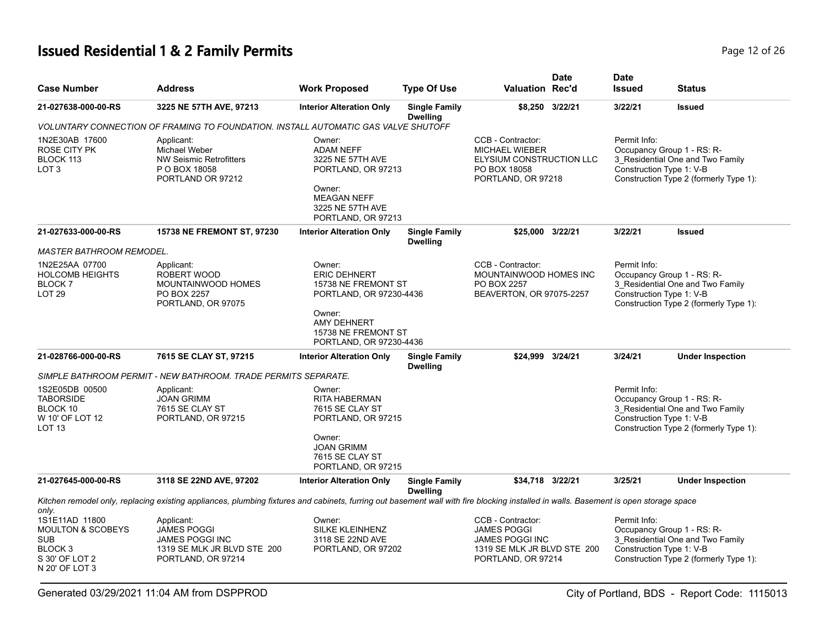# **Issued Residential 1 & 2 Family Permits** Page 12 of 26

| <b>Case Number</b>                                                                                                     | <b>Address</b>                                                                                                                                                                       | <b>Work Proposed</b>                                                                                                                           | <b>Type Of Use</b>                      | <b>Valuation Rec'd</b>                                                                                                 | <b>Date</b>     | <b>Date</b><br><b>Issued</b>                                                                                                                         | <b>Status</b>                                                                                            |  |
|------------------------------------------------------------------------------------------------------------------------|--------------------------------------------------------------------------------------------------------------------------------------------------------------------------------------|------------------------------------------------------------------------------------------------------------------------------------------------|-----------------------------------------|------------------------------------------------------------------------------------------------------------------------|-----------------|------------------------------------------------------------------------------------------------------------------------------------------------------|----------------------------------------------------------------------------------------------------------|--|
| 21-027638-000-00-RS                                                                                                    | 3225 NE 57TH AVE, 97213                                                                                                                                                              | <b>Interior Alteration Only</b>                                                                                                                | <b>Single Family</b><br><b>Dwelling</b> |                                                                                                                        | \$8,250 3/22/21 | 3/22/21                                                                                                                                              | <b>Issued</b>                                                                                            |  |
|                                                                                                                        | VOLUNTARY CONNECTION OF FRAMING TO FOUNDATION. INSTALL AUTOMATIC GAS VALVE SHUTOFF                                                                                                   |                                                                                                                                                |                                         |                                                                                                                        |                 |                                                                                                                                                      |                                                                                                          |  |
| 1N2E30AB 17600<br>ROSE CITY PK<br>BLOCK 113<br>LOT <sub>3</sub>                                                        | Applicant:<br>Michael Weber<br><b>NW Seismic Retrofitters</b><br>P O BOX 18058<br>PORTLAND OR 97212                                                                                  | Owner:<br><b>ADAM NEFF</b><br>3225 NE 57TH AVE<br>PORTLAND, OR 97213<br>Owner:<br><b>MEAGAN NEFF</b><br>3225 NE 57TH AVE<br>PORTLAND, OR 97213 |                                         | CCB - Contractor:<br><b>MICHAEL WIEBER</b><br>ELYSIUM CONSTRUCTION LLC<br>PO BOX 18058<br>PORTLAND, OR 97218           |                 | Permit Info:<br>Construction Type 1: V-B                                                                                                             | Occupancy Group 1 - RS: R-<br>3_Residential One and Two Family<br>Construction Type 2 (formerly Type 1): |  |
| 21-027633-000-00-RS                                                                                                    | 15738 NE FREMONT ST, 97230                                                                                                                                                           | <b>Interior Alteration Only</b>                                                                                                                | <b>Single Family</b><br><b>Dwelling</b> | \$25,000 3/22/21                                                                                                       |                 | 3/22/21                                                                                                                                              | <b>Issued</b>                                                                                            |  |
| <b>MASTER BATHROOM REMODEL.</b>                                                                                        |                                                                                                                                                                                      |                                                                                                                                                |                                         |                                                                                                                        |                 |                                                                                                                                                      |                                                                                                          |  |
| 1N2E25AA 07700<br><b>HOLCOMB HEIGHTS</b><br><b>BLOCK7</b><br>LOT <sub>29</sub>                                         | Applicant:<br>ROBERT WOOD<br>MOUNTAINWOOD HOMES<br>PO BOX 2257<br>PORTLAND, OR 97075                                                                                                 | Owner:<br><b>ERIC DEHNERT</b><br>15738 NE FREMONT ST<br>PORTLAND, OR 97230-4436<br>Owner:<br><b>AMY DEHNERT</b>                                |                                         | CCB - Contractor:<br>MOUNTAINWOOD HOMES INC<br>PO BOX 2257<br>BEAVERTON, OR 97075-2257                                 |                 | Permit Info:<br>Occupancy Group 1 - RS: R-<br>3_Residential One and Two Family<br>Construction Type 1: V-B<br>Construction Type 2 (formerly Type 1): |                                                                                                          |  |
|                                                                                                                        |                                                                                                                                                                                      | 15738 NE FREMONT ST<br>PORTLAND, OR 97230-4436                                                                                                 |                                         |                                                                                                                        |                 |                                                                                                                                                      |                                                                                                          |  |
| 21-028766-000-00-RS                                                                                                    | 7615 SE CLAY ST, 97215                                                                                                                                                               | <b>Interior Alteration Only</b>                                                                                                                | <b>Single Family</b><br><b>Dwelling</b> | \$24.999 3/24/21                                                                                                       |                 | 3/24/21                                                                                                                                              | <b>Under Inspection</b>                                                                                  |  |
|                                                                                                                        | SIMPLE BATHROOM PERMIT - NEW BATHROOM. TRADE PERMITS SEPARATE.                                                                                                                       |                                                                                                                                                |                                         |                                                                                                                        |                 |                                                                                                                                                      |                                                                                                          |  |
| 1S2E05DB 00500<br><b>TABORSIDE</b><br>BLOCK 10<br>W 10' OF LOT 12<br>LOT <sub>13</sub>                                 | Applicant:<br><b>JOAN GRIMM</b><br>7615 SE CLAY ST<br>PORTLAND, OR 97215                                                                                                             | Owner:<br><b>RITA HABERMAN</b><br>7615 SE CLAY ST<br>PORTLAND, OR 97215                                                                        |                                         |                                                                                                                        |                 | Permit Info:<br>Construction Type 1: V-B                                                                                                             | Occupancy Group 1 - RS: R-<br>3 Residential One and Two Family<br>Construction Type 2 (formerly Type 1): |  |
|                                                                                                                        |                                                                                                                                                                                      | Owner:<br><b>JOAN GRIMM</b><br>7615 SE CLAY ST<br>PORTLAND, OR 97215                                                                           |                                         |                                                                                                                        |                 |                                                                                                                                                      |                                                                                                          |  |
| 21-027645-000-00-RS                                                                                                    | 3118 SE 22ND AVE, 97202                                                                                                                                                              | <b>Interior Alteration Only</b>                                                                                                                | <b>Single Family</b><br><b>Dwelling</b> | \$34,718 3/22/21                                                                                                       |                 | 3/25/21                                                                                                                                              | <b>Under Inspection</b>                                                                                  |  |
| only.                                                                                                                  | Kitchen remodel only, replacing existing appliances, plumbing fixtures and cabinets, furring out basement wall with fire blocking installed in walls. Basement is open storage space |                                                                                                                                                |                                         |                                                                                                                        |                 |                                                                                                                                                      |                                                                                                          |  |
| 1S1E11AD 11800<br><b>MOULTON &amp; SCOBEYS</b><br><b>SUB</b><br>BLOCK <sub>3</sub><br>S 30' OF LOT 2<br>N 20' OF LOT 3 | Applicant:<br><b>JAMES POGGI</b><br><b>JAMES POGGI INC</b><br>1319 SE MLK JR BLVD STE 200<br>PORTLAND, OR 97214                                                                      | Owner:<br>SILKE KLEINHENZ<br>3118 SE 22ND AVE<br>PORTLAND, OR 97202                                                                            |                                         | CCB - Contractor:<br><b>JAMES POGGI</b><br><b>JAMES POGGI INC</b><br>1319 SE MLK JR BLVD STE 200<br>PORTLAND, OR 97214 |                 | Permit Info:<br>Construction Type 1: V-B                                                                                                             | Occupancy Group 1 - RS: R-<br>3 Residential One and Two Family<br>Construction Type 2 (formerly Type 1): |  |

Generated 03/29/2021 11:04 AM from DSPPROD City of Portland, BDS - Report Code: 1115013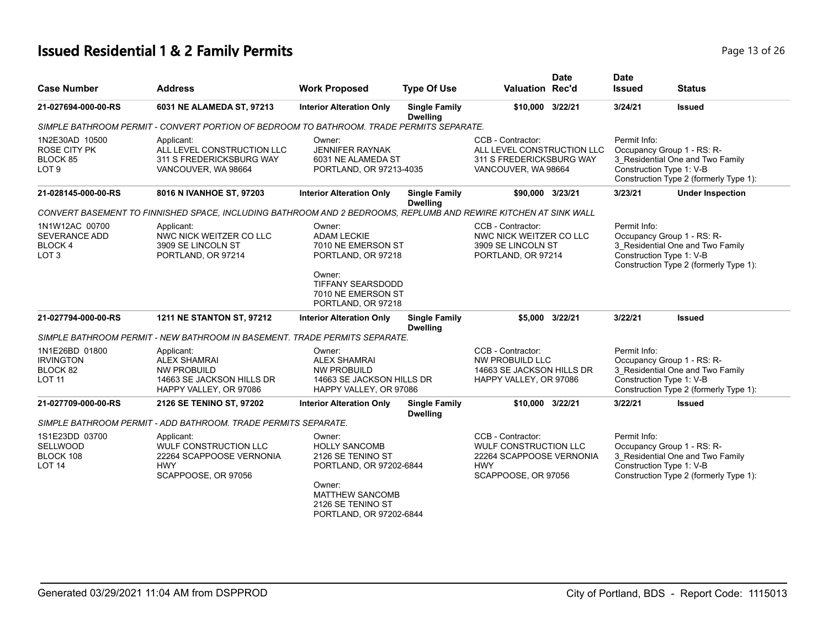# **Issued Residential 1 & 2 Family Permits Page 13 of 26 Page 13 of 26**

|                                                                       |                                                                                                                 |                                                                                                                                                                      |                                         | <b>Date</b>                                                                                                        | <b>Date</b>                                                                                              |                                                                                                          |
|-----------------------------------------------------------------------|-----------------------------------------------------------------------------------------------------------------|----------------------------------------------------------------------------------------------------------------------------------------------------------------------|-----------------------------------------|--------------------------------------------------------------------------------------------------------------------|----------------------------------------------------------------------------------------------------------|----------------------------------------------------------------------------------------------------------|
| <b>Case Number</b>                                                    | <b>Address</b>                                                                                                  | <b>Work Proposed</b>                                                                                                                                                 | <b>Type Of Use</b>                      | <b>Valuation Rec'd</b>                                                                                             | <b>Issued</b>                                                                                            | <b>Status</b>                                                                                            |
| 21-027694-000-00-RS                                                   | 6031 NE ALAMEDA ST, 97213                                                                                       | <b>Interior Alteration Only</b>                                                                                                                                      | <b>Single Family</b><br><b>Dwelling</b> | \$10,000 3/22/21                                                                                                   | 3/24/21                                                                                                  | <b>Issued</b>                                                                                            |
|                                                                       | SIMPLE BATHROOM PERMIT - CONVERT PORTION OF BEDROOM TO BATHROOM. TRADE PERMITS SEPARATE.                        |                                                                                                                                                                      |                                         |                                                                                                                    |                                                                                                          |                                                                                                          |
| 1N2E30AD 10500<br><b>ROSE CITY PK</b><br>BLOCK 85<br>LOT <sub>9</sub> | Applicant:<br>ALL LEVEL CONSTRUCTION LLC<br>311 S FREDERICKSBURG WAY<br>VANCOUVER, WA 98664                     | Owner:<br><b>JENNIFER RAYNAK</b><br>6031 NE ALAMEDA ST<br>PORTLAND, OR 97213-4035                                                                                    |                                         | CCB - Contractor:<br>ALL LEVEL CONSTRUCTION LLC<br>311 S FREDERICKSBURG WAY<br>VANCOUVER, WA 98664                 | Permit Info:<br>Construction Type 1: V-B                                                                 | Occupancy Group 1 - RS: R-<br>3_Residential One and Two Family<br>Construction Type 2 (formerly Type 1): |
| 21-028145-000-00-RS                                                   | 8016 N IVANHOE ST, 97203                                                                                        | <b>Interior Alteration Only</b>                                                                                                                                      | <b>Single Family</b><br><b>Dwelling</b> | \$90,000 3/23/21                                                                                                   | 3/23/21                                                                                                  | <b>Under Inspection</b>                                                                                  |
|                                                                       | CONVERT BASEMENT TO FINNISHED SPACE, INCLUDING BATHROOM AND 2 BEDROOMS, REPLUMB AND REWIRE KITCHEN AT SINK WALL |                                                                                                                                                                      |                                         |                                                                                                                    |                                                                                                          |                                                                                                          |
| 1N1W12AC 00700<br><b>SEVERANCE ADD</b><br>BLOCK 4<br>LOT <sub>3</sub> | Applicant:<br>NWC NICK WEITZER CO LLC<br>3909 SE LINCOLN ST<br>PORTLAND, OR 97214                               | CCB - Contractor:<br>Owner:<br><b>ADAM LECKIE</b><br>NWC NICK WEITZER CO LLC<br>7010 NE EMERSON ST<br>3909 SE LINCOLN ST<br>PORTLAND, OR 97218<br>PORTLAND, OR 97214 |                                         | Permit Info:<br>Construction Type 1: V-B                                                                           | Occupancy Group 1 - RS: R-<br>3 Residential One and Two Family<br>Construction Type 2 (formerly Type 1): |                                                                                                          |
|                                                                       |                                                                                                                 | Owner:<br><b>TIFFANY SEARSDODD</b><br>7010 NE EMERSON ST<br>PORTLAND, OR 97218                                                                                       |                                         |                                                                                                                    |                                                                                                          |                                                                                                          |
| 21-027794-000-00-RS                                                   | <b>1211 NE STANTON ST, 97212</b>                                                                                | <b>Interior Alteration Only</b>                                                                                                                                      | <b>Single Family</b><br><b>Dwelling</b> | \$5.000 3/22/21                                                                                                    | 3/22/21                                                                                                  | <b>Issued</b>                                                                                            |
|                                                                       | SIMPLE BATHROOM PERMIT - NEW BATHROOM IN BASEMENT. TRADE PERMITS SEPARATE.                                      |                                                                                                                                                                      |                                         |                                                                                                                    |                                                                                                          |                                                                                                          |
| 1N1E26BD 01800<br><b>IRVINGTON</b><br>BLOCK 82<br><b>LOT 11</b>       | Applicant:<br><b>ALEX SHAMRAI</b><br><b>NW PROBUILD</b><br>14663 SE JACKSON HILLS DR<br>HAPPY VALLEY, OR 97086  | Owner:<br><b>ALEX SHAMRAI</b><br>NW PROBUILD<br>14663 SE JACKSON HILLS DR<br>HAPPY VALLEY, OR 97086                                                                  |                                         | CCB - Contractor:<br>NW PROBUILD LLC<br>14663 SE JACKSON HILLS DR<br>HAPPY VALLEY, OR 97086                        | Permit Info:<br>Construction Type 1: V-B                                                                 | Occupancy Group 1 - RS: R-<br>3_Residential One and Two Family<br>Construction Type 2 (formerly Type 1): |
| 21-027709-000-00-RS                                                   | 2126 SE TENINO ST, 97202                                                                                        | <b>Interior Alteration Only</b>                                                                                                                                      | <b>Single Family</b><br><b>Dwelling</b> | \$10,000 3/22/21                                                                                                   | 3/22/21                                                                                                  | <b>Issued</b>                                                                                            |
|                                                                       | SIMPLE BATHROOM PERMIT - ADD BATHROOM. TRADE PERMITS SEPARATE.                                                  |                                                                                                                                                                      |                                         |                                                                                                                    |                                                                                                          |                                                                                                          |
| 1S1E23DD 03700<br><b>SELLWOOD</b><br>BLOCK 108<br><b>LOT 14</b>       | Applicant:<br><b>WULF CONSTRUCTION LLC</b><br>22264 SCAPPOOSE VERNONIA<br><b>HWY</b><br>SCAPPOOSE, OR 97056     | Owner:<br><b>HOLLY SANCOMB</b><br>2126 SE TENINO ST<br>PORTLAND, OR 97202-6844<br>Owner:<br><b>MATTHEW SANCOMB</b><br>2126 SE TENINO ST<br>PORTLAND, OR 97202-6844   |                                         | CCB - Contractor:<br><b>WULF CONSTRUCTION LLC</b><br>22264 SCAPPOOSE VERNONIA<br><b>HWY</b><br>SCAPPOOSE, OR 97056 | Permit Info:<br>Construction Type 1: V-B                                                                 | Occupancy Group 1 - RS: R-<br>3 Residential One and Two Family<br>Construction Type 2 (formerly Type 1): |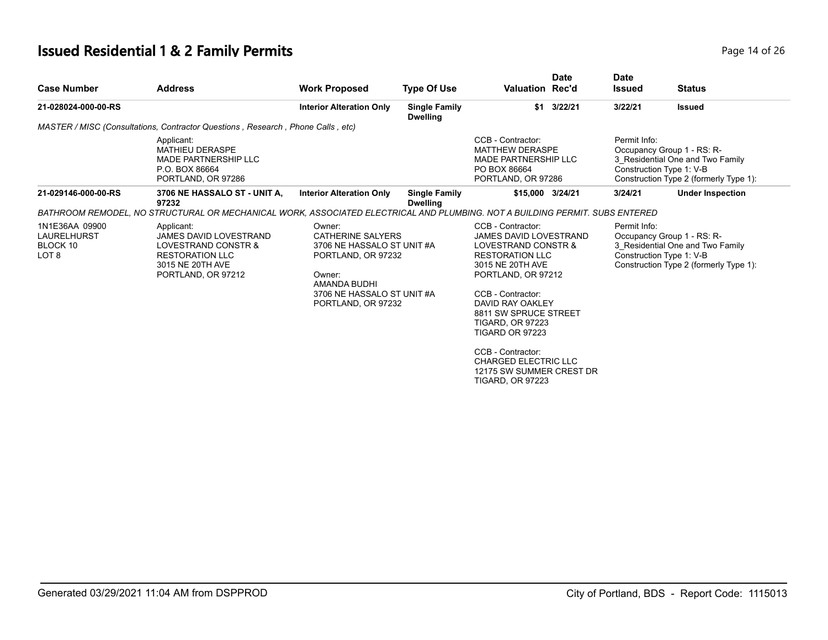# **Issued Residential 1 & 2 Family Permits Page 14 of 26 and 26 and 26 and 26 and 26 and 26 and 26 and 26 and 26 and 26 and 26 and 26 and 26 and 26 and 26 and 26 and 26 and 26 and 26 and 26 and 26 and 26 and 26 and 26 and**

| <b>Case Number</b>                                            | <b>Address</b>                                                                                                                  | <b>Work Proposed</b>                                                                                                                                                                       | <b>Type Of Use</b>                      | <b>Valuation Rec'd</b>                                                                                                                                                                                                                                                                                                                                            | <b>Date</b>  | <b>Date</b><br><b>Issued</b>                                               | <b>Status</b>                                                                                            |
|---------------------------------------------------------------|---------------------------------------------------------------------------------------------------------------------------------|--------------------------------------------------------------------------------------------------------------------------------------------------------------------------------------------|-----------------------------------------|-------------------------------------------------------------------------------------------------------------------------------------------------------------------------------------------------------------------------------------------------------------------------------------------------------------------------------------------------------------------|--------------|----------------------------------------------------------------------------|----------------------------------------------------------------------------------------------------------|
| 21-028024-000-00-RS                                           |                                                                                                                                 | <b>Interior Alteration Only</b>                                                                                                                                                            | <b>Single Family</b><br><b>Dwelling</b> |                                                                                                                                                                                                                                                                                                                                                                   | $$1$ 3/22/21 | 3/22/21                                                                    | <b>Issued</b>                                                                                            |
|                                                               | MASTER / MISC (Consultations, Contractor Questions, Research, Phone Calls, etc)                                                 |                                                                                                                                                                                            |                                         |                                                                                                                                                                                                                                                                                                                                                                   |              |                                                                            |                                                                                                          |
|                                                               | Applicant:<br><b>MATHIEU DERASPE</b><br><b>MADE PARTNERSHIP LLC</b><br>P.O. BOX 86664<br>PORTLAND, OR 97286                     | CCB - Contractor:<br>Permit Info:<br><b>MATTHEW DERASPE</b><br>Occupancy Group 1 - RS: R-<br><b>MADE PARTNERSHIP LLC</b><br>PO BOX 86664<br>Construction Type 1: V-B<br>PORTLAND, OR 97286 |                                         |                                                                                                                                                                                                                                                                                                                                                                   |              | 3 Residential One and Two Family<br>Construction Type 2 (formerly Type 1): |                                                                                                          |
| 21-029146-000-00-RS                                           | 3706 NE HASSALO ST - UNIT A,<br>97232                                                                                           | <b>Interior Alteration Only</b>                                                                                                                                                            | <b>Single Family</b><br><b>Dwelling</b> | \$15,000 3/24/21                                                                                                                                                                                                                                                                                                                                                  |              | 3/24/21                                                                    | <b>Under Inspection</b>                                                                                  |
|                                                               | BATHROOM REMODEL, NO STRUCTURAL OR MECHANICAL WORK, ASSOCIATED ELECTRICAL AND PLUMBING. NOT A BUILDING PERMIT. SUBS ENTERED     |                                                                                                                                                                                            |                                         |                                                                                                                                                                                                                                                                                                                                                                   |              |                                                                            |                                                                                                          |
| 1N1E36AA 09900<br>LAURELHURST<br>BLOCK 10<br>LOT <sub>8</sub> | Applicant:<br>JAMES DAVID LOVESTRAND<br>LOVESTRAND CONSTR &<br><b>RESTORATION LLC</b><br>3015 NE 20TH AVE<br>PORTLAND, OR 97212 | Owner:<br><b>CATHERINE SALYERS</b><br>3706 NE HASSALO ST UNIT #A<br>PORTLAND, OR 97232<br>Owner:<br>AMANDA BUDHI<br>3706 NE HASSALO ST UNIT #A<br>PORTLAND, OR 97232                       |                                         | CCB - Contractor:<br>JAMES DAVID LOVESTRAND<br>LOVESTRAND CONSTR &<br><b>RESTORATION LLC</b><br>3015 NE 20TH AVE<br>PORTLAND, OR 97212<br>CCB - Contractor:<br>DAVID RAY OAKLEY<br>8811 SW SPRUCE STREET<br><b>TIGARD, OR 97223</b><br>TIGARD OR 97223<br>CCB - Contractor:<br><b>CHARGED ELECTRIC LLC</b><br>12175 SW SUMMER CREST DR<br><b>TIGARD, OR 97223</b> |              | Permit Info:<br>Construction Type 1: V-B                                   | Occupancy Group 1 - RS: R-<br>3 Residential One and Two Family<br>Construction Type 2 (formerly Type 1): |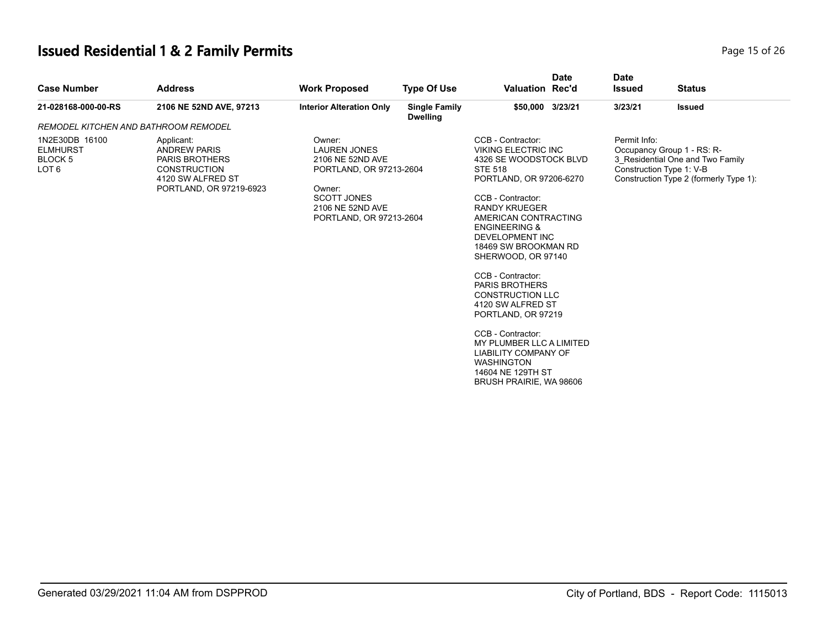# **Issued Residential 1 & 2 Family Permits Page 15 of 26** 26 26

| <b>Case Number</b>                                                          | <b>Address</b>                                                                                                                    | <b>Work Proposed</b>                                                                                                                                        | <b>Type Of Use</b>                      | <b>Valuation Rec'd</b>                                                                                                                                                                                                                                                                                                                                                                                                                                                                                                                                                   | <b>Date</b> | <b>Date</b><br><b>Issued</b> | <b>Status</b>                                                                                                                        |
|-----------------------------------------------------------------------------|-----------------------------------------------------------------------------------------------------------------------------------|-------------------------------------------------------------------------------------------------------------------------------------------------------------|-----------------------------------------|--------------------------------------------------------------------------------------------------------------------------------------------------------------------------------------------------------------------------------------------------------------------------------------------------------------------------------------------------------------------------------------------------------------------------------------------------------------------------------------------------------------------------------------------------------------------------|-------------|------------------------------|--------------------------------------------------------------------------------------------------------------------------------------|
| 21-028168-000-00-RS                                                         | 2106 NE 52ND AVE, 97213                                                                                                           | <b>Interior Alteration Only</b>                                                                                                                             | <b>Single Family</b><br><b>Dwelling</b> | \$50,000 3/23/21                                                                                                                                                                                                                                                                                                                                                                                                                                                                                                                                                         |             | 3/23/21                      | <b>Issued</b>                                                                                                                        |
| REMODEL KITCHEN AND BATHROOM REMODEL                                        |                                                                                                                                   |                                                                                                                                                             |                                         |                                                                                                                                                                                                                                                                                                                                                                                                                                                                                                                                                                          |             |                              |                                                                                                                                      |
| 1N2E30DB 16100<br><b>ELMHURST</b><br>BLOCK <sub>5</sub><br>LOT <sub>6</sub> | Applicant:<br><b>ANDREW PARIS</b><br><b>PARIS BROTHERS</b><br><b>CONSTRUCTION</b><br>4120 SW ALFRED ST<br>PORTLAND, OR 97219-6923 | Owner:<br><b>LAUREN JONES</b><br>2106 NE 52ND AVE<br>PORTLAND, OR 97213-2604<br>Owner:<br><b>SCOTT JONES</b><br>2106 NE 52ND AVE<br>PORTLAND, OR 97213-2604 |                                         | CCB - Contractor:<br><b>VIKING ELECTRIC INC</b><br>4326 SE WOODSTOCK BLVD<br><b>STE 518</b><br>PORTLAND, OR 97206-6270<br>CCB - Contractor:<br><b>RANDY KRUEGER</b><br>AMERICAN CONTRACTING<br><b>ENGINEERING &amp;</b><br><b>DEVELOPMENT INC</b><br>18469 SW BROOKMAN RD<br>SHERWOOD, OR 97140<br>CCB - Contractor:<br><b>PARIS BROTHERS</b><br><b>CONSTRUCTION LLC</b><br>4120 SW ALFRED ST<br>PORTLAND, OR 97219<br>CCB - Contractor:<br>MY PLUMBER LLC A LIMITED<br><b>LIABILITY COMPANY OF</b><br><b>WASHINGTON</b><br>14604 NE 129TH ST<br>BRUSH PRAIRIE, WA 98606 |             | Permit Info:                 | Occupancy Group 1 - RS: R-<br>3 Residential One and Two Family<br>Construction Type 1: V-B<br>Construction Type 2 (formerly Type 1): |
|                                                                             |                                                                                                                                   |                                                                                                                                                             |                                         |                                                                                                                                                                                                                                                                                                                                                                                                                                                                                                                                                                          |             |                              |                                                                                                                                      |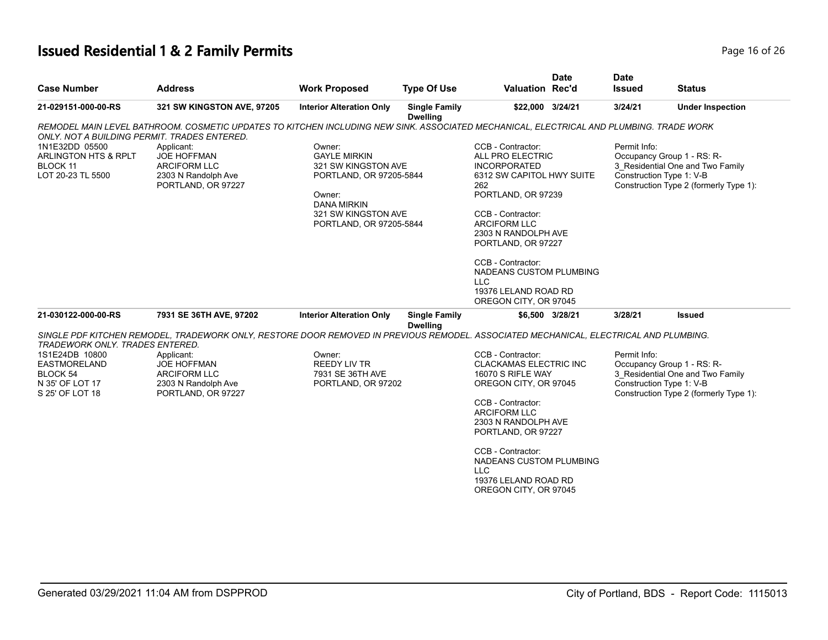# **Issued Residential 1 & 2 Family Permits Page 16 of 26 Page 16 of 26**

|                                                                                         |                                                                                                                                         |                                                                                                                                                                   |                                         |                                                                                                                                                                                                                                                                                                   | <b>Date</b>     | <b>Date</b>                              |                                                                                                          |
|-----------------------------------------------------------------------------------------|-----------------------------------------------------------------------------------------------------------------------------------------|-------------------------------------------------------------------------------------------------------------------------------------------------------------------|-----------------------------------------|---------------------------------------------------------------------------------------------------------------------------------------------------------------------------------------------------------------------------------------------------------------------------------------------------|-----------------|------------------------------------------|----------------------------------------------------------------------------------------------------------|
| <b>Case Number</b>                                                                      | <b>Address</b>                                                                                                                          | <b>Work Proposed</b>                                                                                                                                              | <b>Type Of Use</b>                      | <b>Valuation Rec'd</b>                                                                                                                                                                                                                                                                            |                 | <b>Issued</b>                            | <b>Status</b>                                                                                            |
| 21-029151-000-00-RS                                                                     | 321 SW KINGSTON AVE, 97205                                                                                                              | <b>Interior Alteration Only</b>                                                                                                                                   | <b>Single Family</b><br><b>Dwelling</b> | \$22,000 3/24/21                                                                                                                                                                                                                                                                                  |                 | 3/24/21                                  | <b>Under Inspection</b>                                                                                  |
| ONLY. NOT A BUILDING PERMIT. TRADES ENTERED.                                            | REMODEL MAIN LEVEL BATHROOM. COSMETIC UPDATES TO KITCHEN INCLUDING NEW SINK. ASSOCIATED MECHANICAL, ELECTRICAL AND PLUMBING. TRADE WORK |                                                                                                                                                                   |                                         |                                                                                                                                                                                                                                                                                                   |                 |                                          |                                                                                                          |
| 1N1E32DD 05500<br>ARLINGTON HTS & RPLT<br>BLOCK 11<br>LOT 20-23 TL 5500                 | Applicant:<br><b>JOE HOFFMAN</b><br><b>ARCIFORM LLC</b><br>2303 N Randolph Ave<br>PORTLAND, OR 97227                                    | Owner:<br><b>GAYLE MIRKIN</b><br>321 SW KINGSTON AVE<br>PORTLAND, OR 97205-5844<br>Owner:<br><b>DANA MIRKIN</b><br>321 SW KINGSTON AVE<br>PORTLAND, OR 97205-5844 |                                         | CCB - Contractor:<br>ALL PRO ELECTRIC<br><b>INCORPORATED</b><br>6312 SW CAPITOL HWY SUITE<br>262<br>PORTLAND, OR 97239<br>CCB - Contractor:<br><b>ARCIFORM LLC</b><br>2303 N RANDOLPH AVE<br>PORTLAND, OR 97227<br>CCB - Contractor:<br>NADEANS CUSTOM PLUMBING<br>LLC<br>19376 LELAND ROAD RD    |                 | Permit Info:<br>Construction Type 1: V-B | Occupancy Group 1 - RS: R-<br>3 Residential One and Two Family<br>Construction Type 2 (formerly Type 1): |
| 21-030122-000-00-RS                                                                     | 7931 SE 36TH AVE, 97202                                                                                                                 | <b>Interior Alteration Only</b>                                                                                                                                   | <b>Single Family</b>                    | OREGON CITY, OR 97045                                                                                                                                                                                                                                                                             | \$6,500 3/28/21 | 3/28/21                                  | Issued                                                                                                   |
|                                                                                         | SINGLE PDF KITCHEN REMODEL, TRADEWORK ONLY, RESTORE DOOR REMOVED IN PREVIOUS REMODEL. ASSOCIATED MECHANICAL, ELECTRICAL AND PLUMBING.   |                                                                                                                                                                   | <b>Dwelling</b>                         |                                                                                                                                                                                                                                                                                                   |                 |                                          |                                                                                                          |
| TRADEWORK ONLY. TRADES ENTERED.                                                         |                                                                                                                                         |                                                                                                                                                                   |                                         |                                                                                                                                                                                                                                                                                                   |                 |                                          |                                                                                                          |
| 1S1E24DB 10800<br><b>EASTMORELAND</b><br>BLOCK 54<br>N 35' OF LOT 17<br>S 25' OF LOT 18 | Applicant:<br><b>JOE HOFFMAN</b><br>ARCIFORM LLC<br>2303 N Randolph Ave<br>PORTLAND, OR 97227                                           | Owner:<br><b>REEDY LIV TR</b><br>7931 SE 36TH AVE<br>PORTLAND, OR 97202                                                                                           |                                         | CCB - Contractor:<br><b>CLACKAMAS ELECTRIC INC</b><br>16070 S RIFLE WAY<br>OREGON CITY, OR 97045<br>CCB - Contractor:<br><b>ARCIFORM LLC</b><br>2303 N RANDOLPH AVE<br>PORTLAND, OR 97227<br>CCB - Contractor:<br>NADEANS CUSTOM PLUMBING<br>LLC<br>19376 LELAND ROAD RD<br>OREGON CITY, OR 97045 |                 | Permit Info:<br>Construction Type 1: V-B | Occupancy Group 1 - RS: R-<br>3_Residential One and Two Family<br>Construction Type 2 (formerly Type 1): |
|                                                                                         |                                                                                                                                         |                                                                                                                                                                   |                                         |                                                                                                                                                                                                                                                                                                   |                 |                                          |                                                                                                          |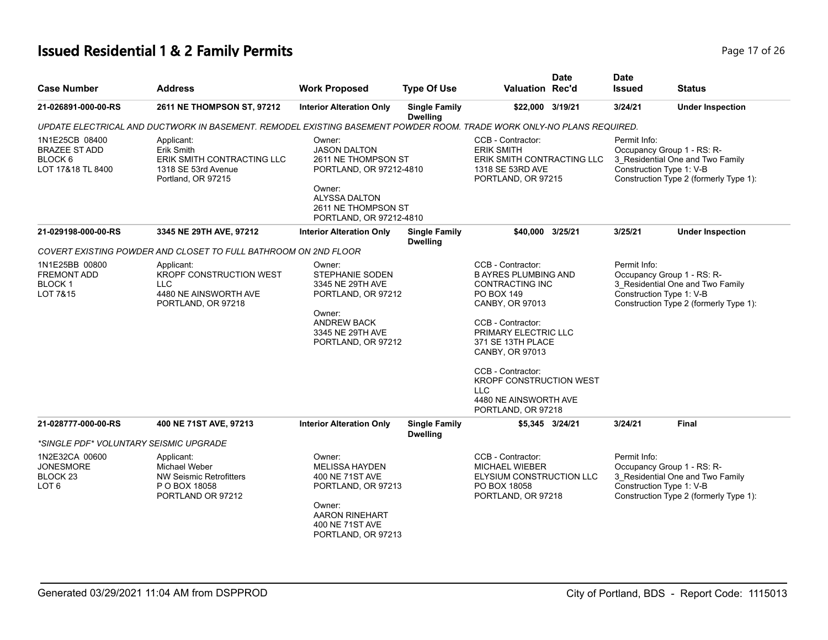# **Issued Residential 1 & 2 Family Permits Page 17 of 26 Page 17 of 26**

| <b>Case Number</b>                                                            | <b>Address</b>                                                                                                        | <b>Work Proposed</b>                                                                                                                                                | <b>Type Of Use</b>                      | <b>Valuation Rec'd</b>                                                                                                                                                                                                                                                                                               | <b>Date</b> | <b>Date</b><br><b>Issued</b>                                           | <b>Status</b>                                                              |
|-------------------------------------------------------------------------------|-----------------------------------------------------------------------------------------------------------------------|---------------------------------------------------------------------------------------------------------------------------------------------------------------------|-----------------------------------------|----------------------------------------------------------------------------------------------------------------------------------------------------------------------------------------------------------------------------------------------------------------------------------------------------------------------|-------------|------------------------------------------------------------------------|----------------------------------------------------------------------------|
| 21-026891-000-00-RS                                                           | 2611 NE THOMPSON ST, 97212                                                                                            | <b>Interior Alteration Only</b>                                                                                                                                     | <b>Single Family</b><br><b>Dwelling</b> | \$22,000 3/19/21                                                                                                                                                                                                                                                                                                     |             | 3/24/21                                                                | <b>Under Inspection</b>                                                    |
|                                                                               | UPDATE ELECTRICAL AND DUCTWORK IN BASEMENT. REMODEL EXISTING BASEMENT POWDER ROOM. TRADE WORK ONLY-NO PLANS REQUIRED. |                                                                                                                                                                     |                                         |                                                                                                                                                                                                                                                                                                                      |             |                                                                        |                                                                            |
| 1N1E25CB 08400<br><b>BRAZEE ST ADD</b><br>BLOCK 6<br>LOT 17&18 TL 8400        | Applicant:<br>Erik Smith<br>ERIK SMITH CONTRACTING LLC<br>1318 SE 53rd Avenue<br>Portland, OR 97215                   | Owner:<br><b>JASON DALTON</b><br>2611 NE THOMPSON ST<br>PORTLAND, OR 97212-4810<br>Owner:<br><b>ALYSSA DALTON</b><br>2611 NE THOMPSON ST<br>PORTLAND, OR 97212-4810 |                                         | CCB - Contractor:<br><b>ERIK SMITH</b><br>ERIK SMITH CONTRACTING LLC<br>1318 SE 53RD AVE<br>PORTLAND, OR 97215                                                                                                                                                                                                       |             | Permit Info:<br>Occupancy Group 1 - RS: R-<br>Construction Type 1: V-B | 3_Residential One and Two Family<br>Construction Type 2 (formerly Type 1): |
| 21-029198-000-00-RS                                                           | 3345 NE 29TH AVE, 97212                                                                                               | <b>Interior Alteration Only</b>                                                                                                                                     | <b>Single Family</b><br><b>Dwelling</b> | \$40,000 3/25/21                                                                                                                                                                                                                                                                                                     |             | 3/25/21                                                                | <b>Under Inspection</b>                                                    |
|                                                                               | COVERT EXISTING POWDER AND CLOSET TO FULL BATHROOM ON 2ND FLOOR                                                       |                                                                                                                                                                     |                                         |                                                                                                                                                                                                                                                                                                                      |             |                                                                        |                                                                            |
| 1N1E25BB 00800<br><b>FREMONT ADD</b><br>BLOCK <sub>1</sub><br>LOT 7&15        | Applicant:<br>KROPF CONSTRUCTION WEST<br>LLC<br>4480 NE AINSWORTH AVE<br>PORTLAND, OR 97218                           | Owner:<br>STEPHANIE SODEN<br>3345 NE 29TH AVE<br>PORTLAND, OR 97212<br>Owner:<br><b>ANDREW BACK</b><br>3345 NE 29TH AVE<br>PORTLAND, OR 97212                       |                                         | CCB - Contractor:<br><b>B AYRES PLUMBING AND</b><br><b>CONTRACTING INC</b><br>PO BOX 149<br>CANBY, OR 97013<br>CCB - Contractor:<br>PRIMARY ELECTRIC LLC<br>371 SE 13TH PLACE<br>CANBY, OR 97013<br>CCB - Contractor:<br><b>KROPF CONSTRUCTION WEST</b><br><b>LLC</b><br>4480 NE AINSWORTH AVE<br>PORTLAND, OR 97218 |             | Permit Info:<br>Occupancy Group 1 - RS: R-<br>Construction Type 1: V-B | 3_Residential One and Two Family<br>Construction Type 2 (formerly Type 1): |
| 21-028777-000-00-RS                                                           | 400 NE 71ST AVE, 97213                                                                                                | <b>Interior Alteration Only</b>                                                                                                                                     | <b>Single Family</b><br><b>Dwelling</b> | \$5,345 3/24/21                                                                                                                                                                                                                                                                                                      |             | 3/24/21                                                                | <b>Final</b>                                                               |
| *SINGLE PDF* VOLUNTARY SEISMIC UPGRADE                                        |                                                                                                                       |                                                                                                                                                                     |                                         |                                                                                                                                                                                                                                                                                                                      |             |                                                                        |                                                                            |
| 1N2E32CA 00600<br><b>JONESMORE</b><br>BLOCK <sub>23</sub><br>LOT <sub>6</sub> | Applicant:<br>Michael Weber<br><b>NW Seismic Retrofitters</b><br>P O BOX 18058<br>PORTLAND OR 97212                   | Owner:<br><b>MELISSA HAYDEN</b><br>400 NE 71ST AVE<br>PORTLAND, OR 97213<br>Owner:<br><b>AARON RINEHART</b><br>400 NE 71ST AVE<br>PORTLAND, OR 97213                |                                         | CCB - Contractor:<br><b>MICHAEL WIEBER</b><br>ELYSIUM CONSTRUCTION LLC<br>PO BOX 18058<br>PORTLAND, OR 97218                                                                                                                                                                                                         |             | Permit Info:<br>Occupancy Group 1 - RS: R-<br>Construction Type 1: V-B | 3_Residential One and Two Family<br>Construction Type 2 (formerly Type 1): |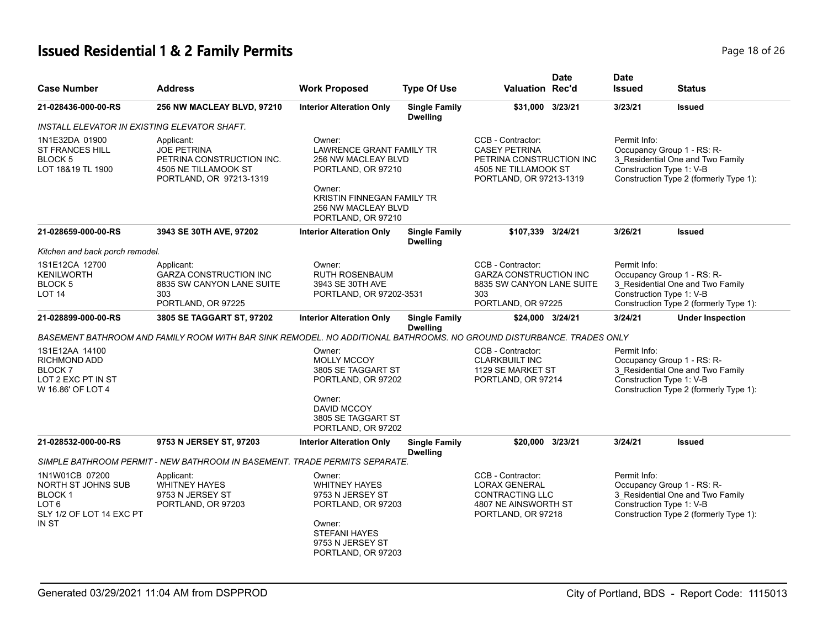# **Issued Residential 1 & 2 Family Permits Page 18 of 26 and 26 and 26 and 26 and 26 and 26 and 26 and 26 and 26 and 26 and 26 and 26 and 26 and 26 and 26 and 26 and 26 and 26 and 26 and 26 and 26 and 26 and 26 and 26 and**

| <b>Case Number</b>                                                                                       | <b>Address</b>                                                                                                       | <b>Work Proposed</b>                                                                                                                                                        | <b>Type Of Use</b>                      | <b>Valuation Rec'd</b>                                                                                                   | <b>Date</b> | <b>Date</b><br><b>Issued</b>                                                                                                                         | <b>Status</b>                                                              |  |
|----------------------------------------------------------------------------------------------------------|----------------------------------------------------------------------------------------------------------------------|-----------------------------------------------------------------------------------------------------------------------------------------------------------------------------|-----------------------------------------|--------------------------------------------------------------------------------------------------------------------------|-------------|------------------------------------------------------------------------------------------------------------------------------------------------------|----------------------------------------------------------------------------|--|
| 21-028436-000-00-RS                                                                                      | 256 NW MACLEAY BLVD, 97210                                                                                           | <b>Interior Alteration Only</b>                                                                                                                                             | <b>Single Family</b><br><b>Dwelling</b> | \$31.000 3/23/21                                                                                                         |             | 3/23/21                                                                                                                                              | <b>Issued</b>                                                              |  |
| INSTALL ELEVATOR IN EXISTING ELEVATOR SHAFT.                                                             |                                                                                                                      |                                                                                                                                                                             |                                         |                                                                                                                          |             |                                                                                                                                                      |                                                                            |  |
| 1N1E32DA 01900<br><b>ST FRANCES HILL</b><br><b>BLOCK5</b><br>LOT 18&19 TL 1900                           | Applicant:<br><b>JOE PETRINA</b><br>PETRINA CONSTRUCTION INC.<br>4505 NE TILLAMOOK ST<br>PORTLAND, OR 97213-1319     | Owner:<br><b>LAWRENCE GRANT FAMILY TR</b><br>256 NW MACLEAY BLVD<br>PORTLAND, OR 97210<br>Owner:<br>KRISTIN FINNEGAN FAMILY TR<br>256 NW MACLEAY BLVD<br>PORTLAND, OR 97210 |                                         | CCB - Contractor:<br><b>CASEY PETRINA</b><br>PETRINA CONSTRUCTION INC<br>4505 NE TILLAMOOK ST<br>PORTLAND, OR 97213-1319 |             | Permit Info:<br>Occupancy Group 1 - RS: R-<br>Construction Type 1: V-B                                                                               | 3_Residential One and Two Family<br>Construction Type 2 (formerly Type 1): |  |
| 21-028659-000-00-RS                                                                                      | 3943 SE 30TH AVE, 97202                                                                                              | <b>Interior Alteration Only</b>                                                                                                                                             | <b>Single Family</b><br><b>Dwelling</b> | \$107,339                                                                                                                | 3/24/21     | 3/26/21                                                                                                                                              | <b>Issued</b>                                                              |  |
| Kitchen and back porch remodel.                                                                          |                                                                                                                      |                                                                                                                                                                             |                                         |                                                                                                                          |             |                                                                                                                                                      |                                                                            |  |
| 1S1E12CA 12700<br>KENILWORTH<br>BLOCK <sub>5</sub><br>LOT <sub>14</sub>                                  | Applicant:<br><b>GARZA CONSTRUCTION INC</b><br>8835 SW CANYON LANE SUITE<br>303<br>PORTLAND, OR 97225                | Owner:<br><b>RUTH ROSENBAUM</b><br>3943 SE 30TH AVE<br>PORTLAND, OR 97202-3531                                                                                              |                                         | CCB - Contractor:<br><b>GARZA CONSTRUCTION INC</b><br>8835 SW CANYON LANE SUITE<br>303<br>PORTLAND, OR 97225             |             | Permit Info:<br>Occupancy Group 1 - RS: R-<br>3 Residential One and Two Family<br>Construction Type 1: V-B<br>Construction Type 2 (formerly Type 1): |                                                                            |  |
| 21-028899-000-00-RS                                                                                      | 3805 SE TAGGART ST, 97202                                                                                            | <b>Interior Alteration Only</b>                                                                                                                                             | <b>Single Family</b><br><b>Dwelling</b> | \$24,000 3/24/21                                                                                                         |             | 3/24/21                                                                                                                                              | <b>Under Inspection</b>                                                    |  |
|                                                                                                          | BASEMENT BATHROOM AND FAMILY ROOM WITH BAR SINK REMODEL. NO ADDITIONAL BATHROOMS. NO GROUND DISTURBANCE. TRADES ONLY |                                                                                                                                                                             |                                         |                                                                                                                          |             |                                                                                                                                                      |                                                                            |  |
| 1S1E12AA 14100<br><b>RICHMOND ADD</b><br><b>BLOCK7</b><br>LOT 2 EXC PT IN ST<br>W 16.86' OF LOT 4        |                                                                                                                      | Owner:<br><b>MOLLY MCCOY</b><br>3805 SE TAGGART ST<br>PORTLAND, OR 97202<br>Owner:<br>DAVID MCCOY<br>3805 SE TAGGART ST<br>PORTLAND, OR 97202                               |                                         | CCB - Contractor:<br><b>CLARKBUILT INC</b><br>1129 SE MARKET ST<br>PORTLAND, OR 97214                                    |             | Permit Info:<br>Occupancy Group 1 - RS: R-<br>Construction Type 1: V-B                                                                               | 3 Residential One and Two Family<br>Construction Type 2 (formerly Type 1): |  |
| 21-028532-000-00-RS                                                                                      | 9753 N JERSEY ST, 97203                                                                                              | <b>Interior Alteration Only</b>                                                                                                                                             | <b>Single Family</b><br><b>Dwelling</b> | \$20,000 3/23/21                                                                                                         |             | 3/24/21                                                                                                                                              | <b>Issued</b>                                                              |  |
|                                                                                                          | SIMPLE BATHROOM PERMIT - NEW BATHROOM IN BASEMENT. TRADE PERMITS SEPARATE.                                           |                                                                                                                                                                             |                                         |                                                                                                                          |             |                                                                                                                                                      |                                                                            |  |
| 1N1W01CB 07200<br>NORTH ST JOHNS SUB<br>BLOCK <sub>1</sub><br>LOT 6<br>SLY 1/2 OF LOT 14 EXC PT<br>IN ST | Applicant:<br><b>WHITNEY HAYES</b><br>9753 N JERSEY ST<br>PORTLAND, OR 97203                                         | Owner:<br><b>WHITNEY HAYES</b><br>9753 N JERSEY ST<br>PORTLAND, OR 97203<br>Owner:<br><b>STEFANI HAYES</b><br>9753 N JERSEY ST<br>PORTLAND, OR 97203                        |                                         | CCB - Contractor:<br><b>LORAX GENERAL</b><br>CONTRACTING LLC<br>4807 NE AINSWORTH ST<br>PORTLAND, OR 97218               |             | Permit Info:<br>Occupancy Group 1 - RS: R-<br>Construction Type 1: V-B                                                                               | 3 Residential One and Two Family<br>Construction Type 2 (formerly Type 1): |  |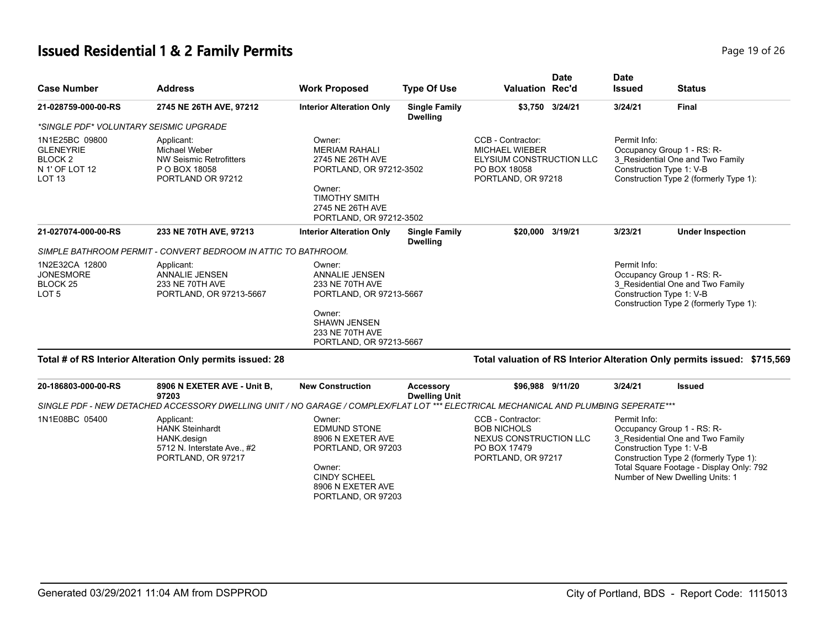# **Issued Residential 1 & 2 Family Permits Page 19 of 26** 26 26

| <b>Case Number</b>                                                                              | <b>Address</b>                                                                                                                      | <b>Work Proposed</b>                                                                                                                                           | <b>Type Of Use</b>                      | <b>Valuation Rec'd</b>                                                                                       | <b>Date</b>     | <b>Date</b><br><b>Issued</b> | <b>Status</b>                                                                                                                                                                                                       |
|-------------------------------------------------------------------------------------------------|-------------------------------------------------------------------------------------------------------------------------------------|----------------------------------------------------------------------------------------------------------------------------------------------------------------|-----------------------------------------|--------------------------------------------------------------------------------------------------------------|-----------------|------------------------------|---------------------------------------------------------------------------------------------------------------------------------------------------------------------------------------------------------------------|
| 21-028759-000-00-RS                                                                             | 2745 NE 26TH AVE, 97212                                                                                                             | <b>Interior Alteration Only</b>                                                                                                                                | <b>Single Family</b><br><b>Dwelling</b> |                                                                                                              | \$3,750 3/24/21 | 3/24/21                      | <b>Final</b>                                                                                                                                                                                                        |
| *SINGLE PDF* VOLUNTARY SEISMIC UPGRADE                                                          |                                                                                                                                     |                                                                                                                                                                |                                         |                                                                                                              |                 |                              |                                                                                                                                                                                                                     |
| 1N1E25BC 09800<br><b>GLENEYRIE</b><br>BLOCK <sub>2</sub><br>N 1' OF LOT 12<br>LOT <sub>13</sub> | Applicant:<br>Michael Weber<br><b>NW Seismic Retrofitters</b><br>P O BOX 18058<br>PORTLAND OR 97212                                 | Owner:<br><b>MERIAM RAHALI</b><br>2745 NE 26TH AVE<br>PORTLAND, OR 97212-3502<br>Owner:<br><b>TIMOTHY SMITH</b><br>2745 NE 26TH AVE<br>PORTLAND, OR 97212-3502 |                                         | CCB - Contractor:<br><b>MICHAEL WIEBER</b><br>ELYSIUM CONSTRUCTION LLC<br>PO BOX 18058<br>PORTLAND, OR 97218 |                 | Permit Info:                 | Occupancy Group 1 - RS: R-<br>3 Residential One and Two Family<br>Construction Type 1: V-B<br>Construction Type 2 (formerly Type 1):                                                                                |
| 21-027074-000-00-RS                                                                             | 233 NE 70TH AVE, 97213                                                                                                              | <b>Interior Alteration Only</b>                                                                                                                                | <b>Single Family</b><br><b>Dwelling</b> | \$20.000 3/19/21                                                                                             |                 | 3/23/21                      | <b>Under Inspection</b>                                                                                                                                                                                             |
|                                                                                                 | SIMPLE BATHROOM PERMIT - CONVERT BEDROOM IN ATTIC TO BATHROOM.                                                                      |                                                                                                                                                                |                                         |                                                                                                              |                 |                              |                                                                                                                                                                                                                     |
| 1N2E32CA 12800<br><b>JONESMORE</b><br>BLOCK <sub>25</sub><br>LOT <sub>5</sub>                   | Applicant:<br><b>ANNALIE JENSEN</b><br>233 NE 70TH AVE<br>PORTLAND, OR 97213-5667                                                   | Owner:<br><b>ANNALIE JENSEN</b><br>233 NE 70TH AVE<br>PORTLAND, OR 97213-5667                                                                                  |                                         |                                                                                                              |                 | Permit Info:                 | Occupancy Group 1 - RS: R-<br>3_Residential One and Two Family<br>Construction Type 1: V-B<br>Construction Type 2 (formerly Type 1):                                                                                |
|                                                                                                 |                                                                                                                                     | Owner:<br><b>SHAWN JENSEN</b><br>233 NE 70TH AVE<br>PORTLAND, OR 97213-5667                                                                                    |                                         |                                                                                                              |                 |                              |                                                                                                                                                                                                                     |
|                                                                                                 | Total # of RS Interior Alteration Only permits issued: 28                                                                           |                                                                                                                                                                |                                         |                                                                                                              |                 |                              | Total valuation of RS Interior Alteration Only permits issued: \$715,569                                                                                                                                            |
| 20-186803-000-00-RS                                                                             | 8906 N EXETER AVE - Unit B,<br>97203                                                                                                | <b>New Construction</b>                                                                                                                                        | Accessory<br><b>Dwelling Unit</b>       | \$96,988 9/11/20                                                                                             |                 | 3/24/21                      | <b>Issued</b>                                                                                                                                                                                                       |
|                                                                                                 | SINGLE PDF - NEW DETACHED ACCESSORY DWELLING UNIT / NO GARAGE / COMPLEX/FLAT LOT *** ELECTRICAL MECHANICAL AND PLUMBING SEPERATE*** |                                                                                                                                                                |                                         |                                                                                                              |                 |                              |                                                                                                                                                                                                                     |
| 1N1E08BC 05400                                                                                  | Applicant:<br><b>HANK Steinhardt</b><br>HANK design<br>5712 N. Interstate Ave., #2<br>PORTLAND, OR 97217                            | Owner:<br><b>EDMUND STONE</b><br>8906 N EXETER AVE<br>PORTLAND, OR 97203<br>Owner:<br><b>CINDY SCHEEL</b><br>8906 N EXETER AVE<br>PORTLAND, OR 97203           |                                         | CCB - Contractor:<br><b>BOB NICHOLS</b><br>NEXUS CONSTRUCTION LLC<br>PO BOX 17479<br>PORTLAND, OR 97217      |                 | Permit Info:                 | Occupancy Group 1 - RS: R-<br>3 Residential One and Two Family<br>Construction Type 1: V-B<br>Construction Type 2 (formerly Type 1):<br>Total Square Footage - Display Only: 792<br>Number of New Dwelling Units: 1 |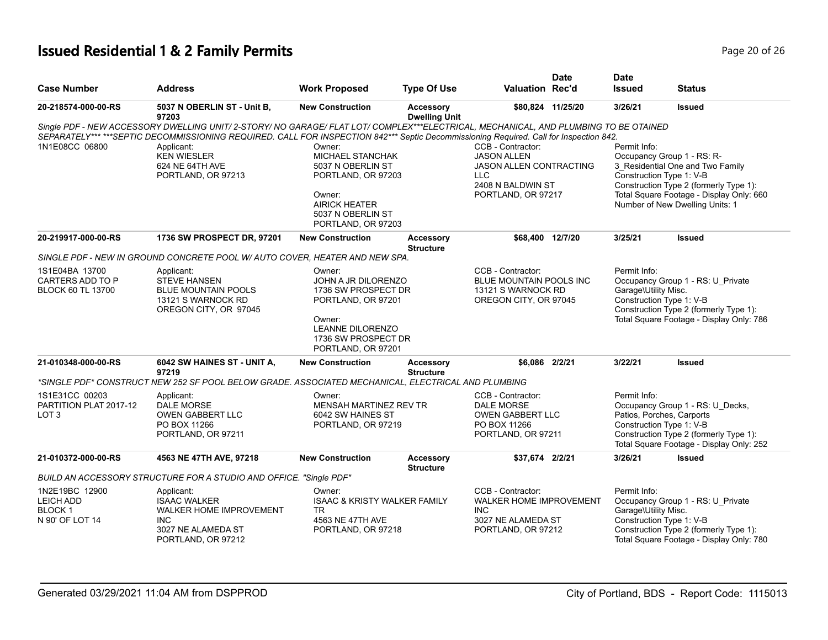# **Issued Residential 1 & 2 Family Permits Page 20 of 26 Page 20 of 26**

|                                                                 |                                                                                                                                       |                                                                                                                                                           |                                          |                                                                                                                                                  | <b>Date</b>       | <b>Date</b>                                                                                                                                                                                                         |                                                                                                                                                                                 |
|-----------------------------------------------------------------|---------------------------------------------------------------------------------------------------------------------------------------|-----------------------------------------------------------------------------------------------------------------------------------------------------------|------------------------------------------|--------------------------------------------------------------------------------------------------------------------------------------------------|-------------------|---------------------------------------------------------------------------------------------------------------------------------------------------------------------------------------------------------------------|---------------------------------------------------------------------------------------------------------------------------------------------------------------------------------|
| <b>Case Number</b>                                              | <b>Address</b>                                                                                                                        | <b>Work Proposed</b>                                                                                                                                      | <b>Type Of Use</b>                       | <b>Valuation Rec'd</b>                                                                                                                           |                   | <b>Issued</b>                                                                                                                                                                                                       | Status                                                                                                                                                                          |
| 20-218574-000-00-RS                                             | 5037 N OBERLIN ST - Unit B,<br>97203                                                                                                  | <b>New Construction</b>                                                                                                                                   | <b>Accessory</b><br><b>Dwelling Unit</b> |                                                                                                                                                  | \$80,824 11/25/20 | 3/26/21                                                                                                                                                                                                             | <b>Issued</b>                                                                                                                                                                   |
|                                                                 | Single PDF - NEW ACCESSORY DWELLING UNIT/ 2-STORY/ NO GARAGE/ FLAT LOT/ COMPLEX***ELECTRICAL, MECHANICAL, AND PLUMBING TO BE OTAINED  |                                                                                                                                                           |                                          |                                                                                                                                                  |                   |                                                                                                                                                                                                                     |                                                                                                                                                                                 |
|                                                                 | SEPARATELY******SEPTIC DECOMMISSIONING REQUIRED. CALL FOR INSPECTION 842*** Septic Decommissioning Required. Call for Inspection 842. |                                                                                                                                                           |                                          |                                                                                                                                                  |                   | Permit Info:                                                                                                                                                                                                        |                                                                                                                                                                                 |
| 1N1E08CC 06800                                                  | Applicant:<br><b>KEN WIESLER</b><br>624 NE 64TH AVE<br>PORTLAND, OR 97213                                                             | Owner:<br><b>MICHAEL STANCHAK</b><br>5037 N OBERLIN ST<br>PORTLAND, OR 97203<br>Owner:<br><b>AIRICK HEATER</b><br>5037 N OBERLIN ST<br>PORTLAND, OR 97203 |                                          | CCB - Contractor:<br><b>JASON ALLEN</b><br><b>JASON ALLEN CONTRACTING</b><br>LLC.<br>2408 N BALDWIN ST<br>PORTLAND, OR 97217<br>\$68,400 12/7/20 |                   | Occupancy Group 1 - RS: R-<br>3_Residential One and Two Family<br>Construction Type 1: V-B<br>Construction Type 2 (formerly Type 1):<br>Total Square Footage - Display Only: 660<br>Number of New Dwelling Units: 1 |                                                                                                                                                                                 |
| 20-219917-000-00-RS                                             | 1736 SW PROSPECT DR, 97201                                                                                                            | <b>New Construction</b>                                                                                                                                   | <b>Accessory</b><br><b>Structure</b>     |                                                                                                                                                  |                   | 3/25/21                                                                                                                                                                                                             | <b>Issued</b>                                                                                                                                                                   |
|                                                                 | SINGLE PDF - NEW IN GROUND CONCRETE POOL W/ AUTO COVER. HEATER AND NEW SPA.                                                           |                                                                                                                                                           |                                          |                                                                                                                                                  |                   |                                                                                                                                                                                                                     |                                                                                                                                                                                 |
| 1S1E04BA 13700<br>CARTERS ADD TO P<br><b>BLOCK 60 TL 13700</b>  | Applicant:<br><b>STEVE HANSEN</b><br><b>BLUE MOUNTAIN POOLS</b><br>13121 S WARNOCK RD<br>OREGON CITY, OR 97045                        | Owner:<br>JOHN A JR DILORENZO<br>1736 SW PROSPECT DR<br>PORTLAND, OR 97201<br>Owner:<br>LEANNE DILORENZO<br>1736 SW PROSPECT DR<br>PORTLAND, OR 97201     |                                          | CCB - Contractor:<br><b>BLUE MOUNTAIN POOLS INC.</b><br>13121 S WARNOCK RD<br>OREGON CITY, OR 97045                                              |                   | Permit Info:<br>Occupancy Group 1 - RS: U_Private<br>Garage\Utility Misc.<br>Construction Type 1: V-B<br>Construction Type 2 (formerly Type 1):<br>Total Square Footage - Display Only: 786                         |                                                                                                                                                                                 |
| 21-010348-000-00-RS                                             | 6042 SW HAINES ST - UNIT A,<br>97219                                                                                                  | <b>New Construction</b>                                                                                                                                   | <b>Accessory</b><br><b>Structure</b>     | \$6,086 2/2/21                                                                                                                                   |                   | 3/22/21                                                                                                                                                                                                             | <b>Issued</b>                                                                                                                                                                   |
|                                                                 | *SINGLE PDF* CONSTRUCT NEW 252 SF POOL BELOW GRADE. ASSOCIATED MECHANICAL, ELECTRICAL AND PLUMBING                                    |                                                                                                                                                           |                                          |                                                                                                                                                  |                   |                                                                                                                                                                                                                     |                                                                                                                                                                                 |
| 1S1E31CC 00203<br>PARTITION PLAT 2017-12<br>LOT <sub>3</sub>    | Applicant:<br><b>DALE MORSE</b><br><b>OWEN GABBERT LLC</b><br>PO BOX 11266<br>PORTLAND, OR 97211                                      | Owner:<br>MENSAH MARTINEZ REV TR<br>6042 SW HAINES ST<br>PORTLAND, OR 97219                                                                               |                                          | CCB - Contractor:<br><b>DALE MORSE</b><br><b>OWEN GABBERT LLC</b><br>PO BOX 11266<br>PORTLAND, OR 97211                                          |                   | Permit Info:                                                                                                                                                                                                        | Occupancy Group 1 - RS: U_Decks,<br>Patios, Porches, Carports<br>Construction Type 1: V-B<br>Construction Type 2 (formerly Type 1):<br>Total Square Footage - Display Only: 252 |
| 21-010372-000-00-RS                                             | 4563 NE 47TH AVE, 97218                                                                                                               | <b>New Construction</b>                                                                                                                                   | <b>Accessory</b><br><b>Structure</b>     | \$37,674 2/2/21                                                                                                                                  |                   | 3/26/21                                                                                                                                                                                                             | <b>Issued</b>                                                                                                                                                                   |
|                                                                 | BUILD AN ACCESSORY STRUCTURE FOR A STUDIO AND OFFICE. "Single PDF"                                                                    |                                                                                                                                                           |                                          |                                                                                                                                                  |                   |                                                                                                                                                                                                                     |                                                                                                                                                                                 |
| 1N2E19BC 12900<br>LEICH ADD<br><b>BLOCK1</b><br>N 90' OF LOT 14 | Applicant:<br><b>ISAAC WALKER</b><br><b>WALKER HOME IMPROVEMENT</b><br><b>INC</b><br>3027 NE ALAMEDA ST<br>PORTLAND, OR 97212         | Owner:<br><b>ISAAC &amp; KRISTY WALKER FAMILY</b><br>TR.<br>4563 NE 47TH AVE<br>PORTLAND, OR 97218                                                        |                                          | CCB - Contractor:<br><b>WALKER HOME IMPROVEMENT</b><br><b>INC</b><br>3027 NE ALAMEDA ST<br>PORTLAND, OR 97212                                    |                   | Permit Info:<br>Garage\Utility Misc.                                                                                                                                                                                | Occupancy Group 1 - RS: U_Private<br>Construction Type 1: V-B<br>Construction Type 2 (formerly Type 1):<br>Total Square Footage - Display Only: 780                             |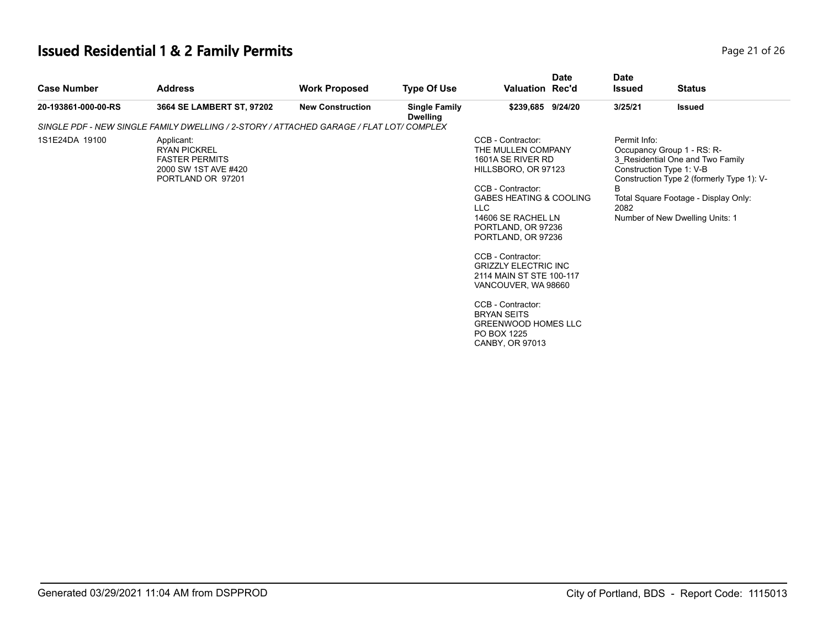| Page 21 of 26 |  |  |
|---------------|--|--|
|               |  |  |

| <b>Case Number</b>  | <b>Address</b>                                                                                          | <b>Work Proposed</b>    | <b>Type Of Use</b>                      | <b>Valuation Rec'd</b>                                                                                                                                                                                                                                                                                                                                                                                                                    | <b>Date</b> | <b>Date</b><br><b>Issued</b> | <b>Status</b>                                                                                                                                                                                                      |
|---------------------|---------------------------------------------------------------------------------------------------------|-------------------------|-----------------------------------------|-------------------------------------------------------------------------------------------------------------------------------------------------------------------------------------------------------------------------------------------------------------------------------------------------------------------------------------------------------------------------------------------------------------------------------------------|-------------|------------------------------|--------------------------------------------------------------------------------------------------------------------------------------------------------------------------------------------------------------------|
| 20-193861-000-00-RS | 3664 SE LAMBERT ST, 97202                                                                               | <b>New Construction</b> | <b>Single Family</b><br><b>Dwelling</b> | \$239,685 9/24/20                                                                                                                                                                                                                                                                                                                                                                                                                         |             | 3/25/21                      | <b>Issued</b>                                                                                                                                                                                                      |
|                     | SINGLE PDF - NEW SINGLE FAMILY DWELLING / 2-STORY / ATTACHED GARAGE / FLAT LOT/ COMPLEX                 |                         |                                         |                                                                                                                                                                                                                                                                                                                                                                                                                                           |             |                              |                                                                                                                                                                                                                    |
| 1S1E24DA 19100      | Applicant:<br><b>RYAN PICKREL</b><br><b>FASTER PERMITS</b><br>2000 SW 1ST AVE #420<br>PORTLAND OR 97201 |                         |                                         | CCB - Contractor:<br>THE MULLEN COMPANY<br>1601A SE RIVER RD<br>HILLSBORO, OR 97123<br>CCB - Contractor:<br><b>GABES HEATING &amp; COOLING</b><br>LLC<br>14606 SE RACHEL LN<br>PORTLAND, OR 97236<br>PORTLAND, OR 97236<br>CCB - Contractor:<br><b>GRIZZLY ELECTRIC INC</b><br>2114 MAIN ST STE 100-117<br>VANCOUVER, WA 98660<br>CCB - Contractor:<br><b>BRYAN SEITS</b><br><b>GREENWOOD HOMES LLC</b><br>PO BOX 1225<br>CANBY, OR 97013 |             | Permit Info:<br>B<br>2082    | Occupancy Group 1 - RS: R-<br>3 Residential One and Two Family<br>Construction Type 1: V-B<br>Construction Type 2 (formerly Type 1): V-<br>Total Square Footage - Display Only:<br>Number of New Dwelling Units: 1 |
|                     |                                                                                                         |                         |                                         |                                                                                                                                                                                                                                                                                                                                                                                                                                           |             |                              |                                                                                                                                                                                                                    |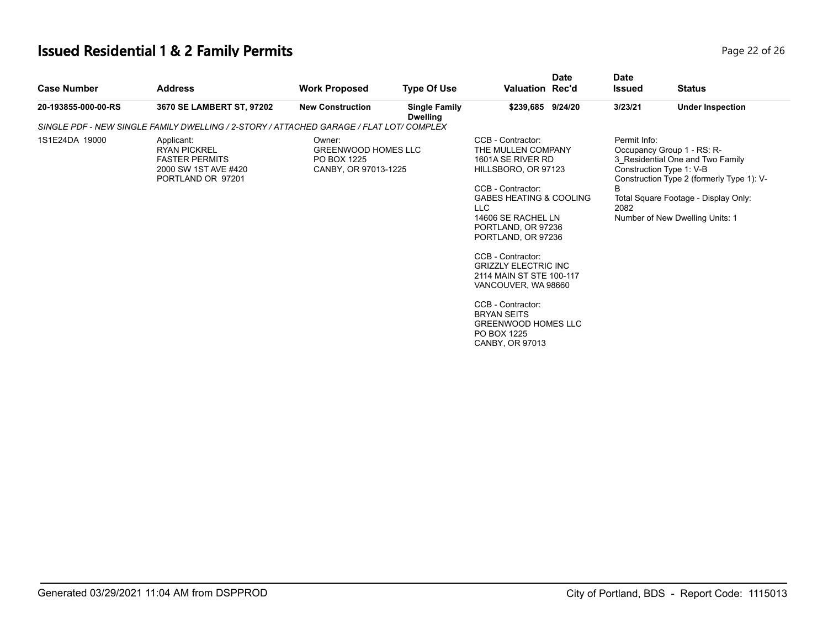| Page 22 of 26 |
|---------------|
|---------------|

| <b>Case Number</b>  | <b>Address</b>                                                                                          | <b>Work Proposed</b>                                                        | <b>Type Of Use</b>                      | Valuation Rec'd                                                                                                                                                                                                                                                                                                                                                                                                                                  | <b>Date</b> | <b>Date</b><br><b>Issued</b> | <b>Status</b>                                                                                                                                                                                                      |  |
|---------------------|---------------------------------------------------------------------------------------------------------|-----------------------------------------------------------------------------|-----------------------------------------|--------------------------------------------------------------------------------------------------------------------------------------------------------------------------------------------------------------------------------------------------------------------------------------------------------------------------------------------------------------------------------------------------------------------------------------------------|-------------|------------------------------|--------------------------------------------------------------------------------------------------------------------------------------------------------------------------------------------------------------------|--|
| 20-193855-000-00-RS | 3670 SE LAMBERT ST, 97202                                                                               | <b>New Construction</b>                                                     | <b>Single Family</b><br><b>Dwelling</b> | \$239,685 9/24/20                                                                                                                                                                                                                                                                                                                                                                                                                                |             | 3/23/21                      | <b>Under Inspection</b>                                                                                                                                                                                            |  |
|                     | SINGLE PDF - NEW SINGLE FAMILY DWELLING / 2-STORY / ATTACHED GARAGE / FLAT LOT/ COMPLEX                 |                                                                             |                                         |                                                                                                                                                                                                                                                                                                                                                                                                                                                  |             |                              |                                                                                                                                                                                                                    |  |
| 1S1E24DA 19000      | Applicant:<br><b>RYAN PICKREL</b><br><b>FASTER PERMITS</b><br>2000 SW 1ST AVE #420<br>PORTLAND OR 97201 | Owner:<br><b>GREENWOOD HOMES LLC</b><br>PO BOX 1225<br>CANBY, OR 97013-1225 |                                         | CCB - Contractor:<br>THE MULLEN COMPANY<br>1601A SE RIVER RD<br>HILLSBORO, OR 97123<br>CCB - Contractor:<br><b>GABES HEATING &amp; COOLING</b><br><b>LLC</b><br>14606 SE RACHEL LN<br>PORTLAND, OR 97236<br>PORTLAND, OR 97236<br>CCB - Contractor:<br><b>GRIZZLY ELECTRIC INC</b><br>2114 MAIN ST STE 100-117<br>VANCOUVER, WA 98660<br>CCB - Contractor:<br><b>BRYAN SEITS</b><br><b>GREENWOOD HOMES LLC</b><br>PO BOX 1225<br>CANBY, OR 97013 |             | Permit Info:<br>B<br>2082    | Occupancy Group 1 - RS: R-<br>3 Residential One and Two Family<br>Construction Type 1: V-B<br>Construction Type 2 (formerly Type 1): V-<br>Total Square Footage - Display Only:<br>Number of New Dwelling Units: 1 |  |
|                     |                                                                                                         |                                                                             |                                         |                                                                                                                                                                                                                                                                                                                                                                                                                                                  |             |                              |                                                                                                                                                                                                                    |  |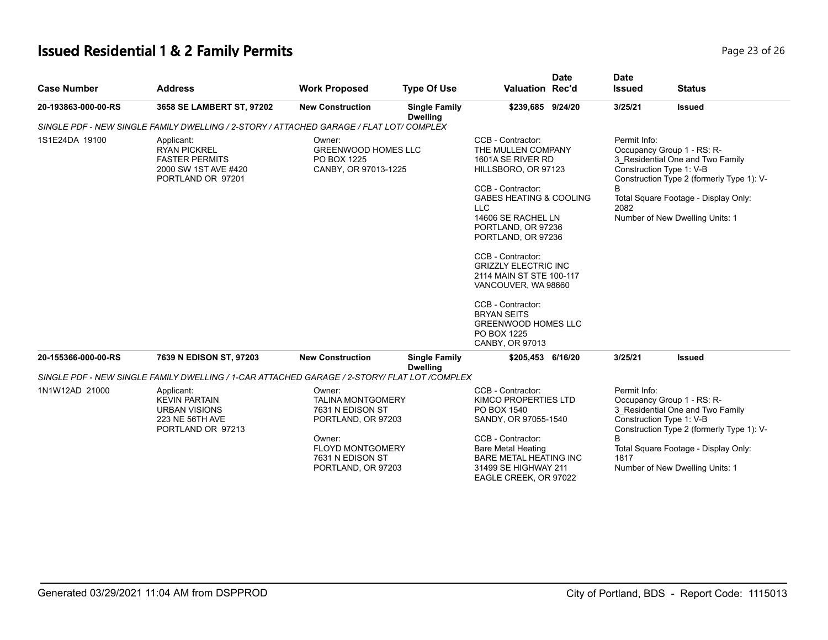| Page 23 of 26 |  |  |
|---------------|--|--|
|               |  |  |

| <b>Case Number</b>                                                                                                                                                                                                   | <b>Address</b>                                                                                     | <b>Work Proposed</b>                                                                                                                                        | <b>Type Of Use</b>                      | Valuation Rec'd                                                                                                                                                                                                                                                                                                                                                                                                               | <b>Date</b> | <b>Date</b><br><b>Issued</b>                                                                                                                                                                                                                    | <b>Status</b>                                                                                                                                                                                                      |
|----------------------------------------------------------------------------------------------------------------------------------------------------------------------------------------------------------------------|----------------------------------------------------------------------------------------------------|-------------------------------------------------------------------------------------------------------------------------------------------------------------|-----------------------------------------|-------------------------------------------------------------------------------------------------------------------------------------------------------------------------------------------------------------------------------------------------------------------------------------------------------------------------------------------------------------------------------------------------------------------------------|-------------|-------------------------------------------------------------------------------------------------------------------------------------------------------------------------------------------------------------------------------------------------|--------------------------------------------------------------------------------------------------------------------------------------------------------------------------------------------------------------------|
| 20-193863-000-00-RS                                                                                                                                                                                                  | 3658 SE LAMBERT ST, 97202                                                                          | <b>New Construction</b>                                                                                                                                     | <b>Single Family</b><br><b>Dwelling</b> | \$239,685 9/24/20                                                                                                                                                                                                                                                                                                                                                                                                             |             | 3/25/21                                                                                                                                                                                                                                         | <b>Issued</b>                                                                                                                                                                                                      |
|                                                                                                                                                                                                                      |                                                                                                    |                                                                                                                                                             |                                         |                                                                                                                                                                                                                                                                                                                                                                                                                               |             |                                                                                                                                                                                                                                                 |                                                                                                                                                                                                                    |
| SINGLE PDF - NEW SINGLE FAMILY DWELLING / 2-STORY / ATTACHED GARAGE / FLAT LOT/ COMPLEX<br>1S1E24DA 19100<br>Applicant:<br><b>RYAN PICKREL</b><br><b>FASTER PERMITS</b><br>2000 SW 1ST AVE #420<br>PORTLAND OR 97201 |                                                                                                    | Owner:<br>GREENWOOD HOMES LLC<br>PO BOX 1225<br>CANBY, OR 97013-1225                                                                                        |                                         | CCB - Contractor:<br>THE MULLEN COMPANY<br>1601A SE RIVER RD<br>HILLSBORO, OR 97123<br>CCB - Contractor:<br><b>GABES HEATING &amp; COOLING</b><br><b>LLC</b><br>14606 SE RACHEL LN<br>PORTLAND, OR 97236<br>PORTLAND, OR 97236<br>CCB - Contractor:<br><b>GRIZZLY ELECTRIC INC</b><br>2114 MAIN ST STE 100-117<br>VANCOUVER, WA 98660<br>CCB - Contractor:<br><b>BRYAN SEITS</b><br><b>GREENWOOD HOMES LLC</b><br>PO BOX 1225 |             | Permit Info:<br>Occupancy Group 1 - RS: R-<br>3 Residential One and Two Family<br>Construction Type 1: V-B<br>Construction Type 2 (formerly Type 1): V-<br>B<br>Total Square Footage - Display Only:<br>2082<br>Number of New Dwelling Units: 1 |                                                                                                                                                                                                                    |
| 20-155366-000-00-RS                                                                                                                                                                                                  | 7639 N EDISON ST, 97203                                                                            | <b>New Construction</b>                                                                                                                                     | <b>Single Family</b>                    | CANBY, OR 97013<br>\$205,453 6/16/20                                                                                                                                                                                                                                                                                                                                                                                          |             | 3/25/21                                                                                                                                                                                                                                         | <b>Issued</b>                                                                                                                                                                                                      |
|                                                                                                                                                                                                                      | SINGLE PDF - NEW SINGLE FAMILY DWELLING / 1-CAR ATTACHED GARAGE / 2-STORY/ FLAT LOT /COMPLEX       |                                                                                                                                                             | <b>Dwelling</b>                         |                                                                                                                                                                                                                                                                                                                                                                                                                               |             |                                                                                                                                                                                                                                                 |                                                                                                                                                                                                                    |
| 1N1W12AD 21000                                                                                                                                                                                                       | Applicant:<br><b>KEVIN PARTAIN</b><br><b>URBAN VISIONS</b><br>223 NE 56TH AVE<br>PORTLAND OR 97213 | Owner:<br><b>TALINA MONTGOMERY</b><br>7631 N EDISON ST<br>PORTLAND, OR 97203<br>Owner:<br><b>FLOYD MONTGOMERY</b><br>7631 N EDISON ST<br>PORTLAND, OR 97203 |                                         | CCB - Contractor:<br>KIMCO PROPERTIES LTD<br>PO BOX 1540<br>SANDY, OR 97055-1540<br>CCB - Contractor:<br><b>Bare Metal Heating</b><br><b>BARE METAL HEATING INC</b><br>31499 SE HIGHWAY 211<br>EAGLE CREEK, OR 97022                                                                                                                                                                                                          |             | Permit Info:<br>R<br>1817                                                                                                                                                                                                                       | Occupancy Group 1 - RS: R-<br>3 Residential One and Two Family<br>Construction Type 1: V-B<br>Construction Type 2 (formerly Type 1): V-<br>Total Square Footage - Display Only:<br>Number of New Dwelling Units: 1 |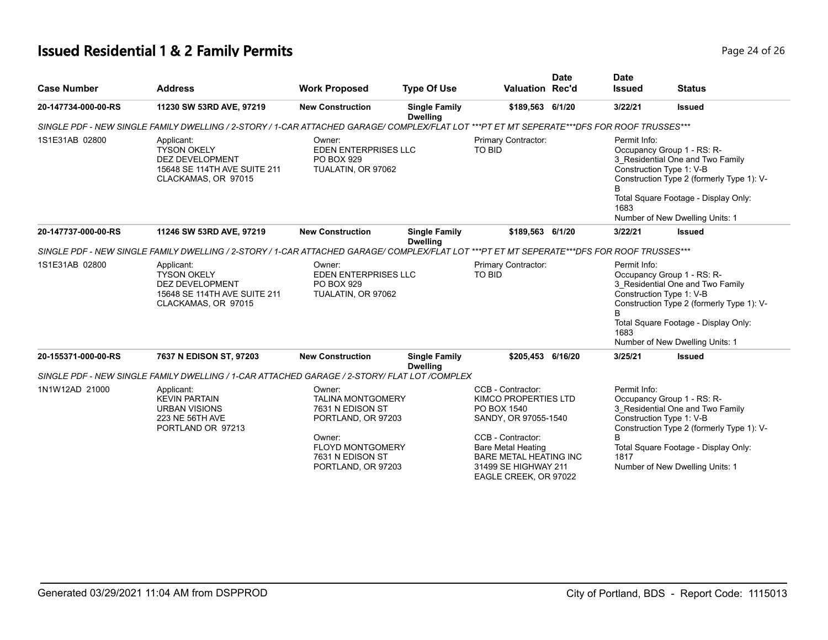# **Issued Residential 1 & 2 Family Permits Page 24 of 26 Page 24 of 26**

| <b>Case Number</b>  | <b>Address</b>                                                                                                                             | <b>Work Proposed</b>                                                                                                                  | <b>Type Of Use</b>                                    | Valuation Rec'd                                                                                                                                                     | <b>Date</b> | <b>Date</b><br><b>Issued</b>                                                                                                                                                                                                                    | <b>Status</b>                                                                                                                                                                          |
|---------------------|--------------------------------------------------------------------------------------------------------------------------------------------|---------------------------------------------------------------------------------------------------------------------------------------|-------------------------------------------------------|---------------------------------------------------------------------------------------------------------------------------------------------------------------------|-------------|-------------------------------------------------------------------------------------------------------------------------------------------------------------------------------------------------------------------------------------------------|----------------------------------------------------------------------------------------------------------------------------------------------------------------------------------------|
| 20-147734-000-00-RS | 11230 SW 53RD AVE, 97219                                                                                                                   | <b>New Construction</b>                                                                                                               | <b>Single Family</b><br><b>Dwelling</b>               | \$189,563 6/1/20                                                                                                                                                    |             | 3/22/21                                                                                                                                                                                                                                         | <b>Issued</b>                                                                                                                                                                          |
|                     | SINGLE PDF - NEW SINGLE FAMILY DWELLING / 2-STORY / 1-CAR ATTACHED GARAGE/ COMPLEX/FLAT LOT ***PT ET MT SEPERATE***DFS FOR ROOF TRUSSES*** |                                                                                                                                       |                                                       |                                                                                                                                                                     |             |                                                                                                                                                                                                                                                 |                                                                                                                                                                                        |
| 1S1E31AB 02800      | Applicant:<br><b>TYSON OKELY</b><br>DEZ DEVELOPMENT<br>15648 SE 114TH AVE SUITE 211<br>CLACKAMAS, OR 97015                                 | Owner:<br>EDEN ENTERPRISES LLC<br>PO BOX 929<br>TUALATIN, OR 97062                                                                    |                                                       | Primary Contractor:<br>TO BID                                                                                                                                       |             | Permit Info:<br>Construction Type 1: V-B<br>1683                                                                                                                                                                                                | Occupancy Group 1 - RS: R-<br>3_Residential One and Two Family<br>Construction Type 2 (formerly Type 1): V-<br>Total Square Footage - Display Only:<br>Number of New Dwelling Units: 1 |
| 20-147737-000-00-RS | 11246 SW 53RD AVE, 97219                                                                                                                   | <b>New Construction</b>                                                                                                               | <b>Single Family</b><br><b>Dwelling</b>               | \$189,563 6/1/20                                                                                                                                                    |             | 3/22/21                                                                                                                                                                                                                                         | <b>Issued</b>                                                                                                                                                                          |
|                     | SINGLE PDF - NEW SINGLE FAMILY DWELLING / 2-STORY / 1-CAR ATTACHED GARAGE/ COMPLEX/FLAT LOT ***PT ET MT SEPERATE***DFS FOR ROOF TRUSSES*** |                                                                                                                                       |                                                       |                                                                                                                                                                     |             |                                                                                                                                                                                                                                                 |                                                                                                                                                                                        |
| 1S1E31AB 02800      | Applicant:<br><b>TYSON OKELY</b><br><b>DEZ DEVELOPMENT</b><br>15648 SE 114TH AVE SUITE 211<br>CLACKAMAS, OR 97015                          | Owner:<br>PO BOX 929<br>TUALATIN, OR 97062                                                                                            | Primary Contractor:<br>TO BID<br>EDEN ENTERPRISES LLC |                                                                                                                                                                     |             | Permit Info:<br>Occupancy Group 1 - RS: R-<br>3 Residential One and Two Family<br>Construction Type 1: V-B<br>Construction Type 2 (formerly Type 1): V-<br>B<br>Total Square Footage - Display Only:<br>1683<br>Number of New Dwelling Units: 1 |                                                                                                                                                                                        |
| 20-155371-000-00-RS | 7637 N EDISON ST, 97203                                                                                                                    | <b>New Construction</b>                                                                                                               | <b>Single Family</b><br><b>Dwelling</b>               | \$205,453 6/16/20                                                                                                                                                   |             | 3/25/21                                                                                                                                                                                                                                         | <b>Issued</b>                                                                                                                                                                          |
|                     | SINGLE PDF - NEW SINGLE FAMILY DWELLING / 1-CAR ATTACHED GARAGE / 2-STORY/ FLAT LOT /COMPLEX                                               |                                                                                                                                       |                                                       |                                                                                                                                                                     |             |                                                                                                                                                                                                                                                 |                                                                                                                                                                                        |
| 1N1W12AD 21000      | Applicant:<br><b>KEVIN PARTAIN</b><br><b>URBAN VISIONS</b><br>223 NE 56TH AVE<br>PORTLAND OR 97213                                         | Owner:<br><b>TALINA MONTGOMERY</b><br>7631 N EDISON ST<br>PORTLAND, OR 97203<br>Owner:<br><b>FLOYD MONTGOMERY</b><br>7631 N EDISON ST |                                                       | CCB - Contractor:<br>KIMCO PROPERTIES LTD<br>PO BOX 1540<br>SANDY, OR 97055-1540<br>CCB - Contractor:<br><b>Bare Metal Heating</b><br><b>BARE METAL HEATING INC</b> |             | Permit Info:<br>Construction Type 1: V-B<br>1817                                                                                                                                                                                                | Occupancy Group 1 - RS: R-<br>3 Residential One and Two Family<br>Construction Type 2 (formerly Type 1): V-<br>Total Square Footage - Display Only:                                    |
|                     |                                                                                                                                            | PORTLAND, OR 97203                                                                                                                    |                                                       | 31499 SE HIGHWAY 211<br>EAGLE CREEK, OR 97022                                                                                                                       |             |                                                                                                                                                                                                                                                 | Number of New Dwelling Units: 1                                                                                                                                                        |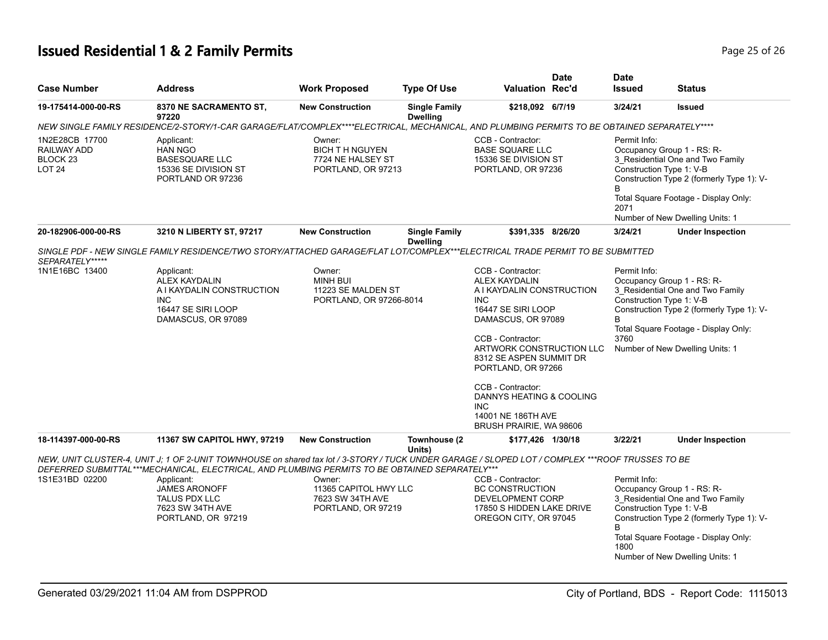# **Issued Residential 1 & 2 Family Permits Page 25 of 26 Page 25 of 26**

| <b>Case Number</b>                                                    | <b>Address</b>                                                                                                                                                                                                                                                                                                                                            | <b>Work Proposed</b>                                                       | <b>Type Of Use</b>                      | <b>Valuation Rec'd</b>                                                                                                                                                                                                                                                                                                                             | <b>Date</b> | <b>Date</b><br><b>Issued</b> | <b>Status</b>                                                                                                                                                                                                      |
|-----------------------------------------------------------------------|-----------------------------------------------------------------------------------------------------------------------------------------------------------------------------------------------------------------------------------------------------------------------------------------------------------------------------------------------------------|----------------------------------------------------------------------------|-----------------------------------------|----------------------------------------------------------------------------------------------------------------------------------------------------------------------------------------------------------------------------------------------------------------------------------------------------------------------------------------------------|-------------|------------------------------|--------------------------------------------------------------------------------------------------------------------------------------------------------------------------------------------------------------------|
| 19-175414-000-00-RS                                                   | 8370 NE SACRAMENTO ST,<br>97220                                                                                                                                                                                                                                                                                                                           | <b>New Construction</b>                                                    | <b>Single Family</b><br><b>Dwelling</b> | \$218,092 6/7/19                                                                                                                                                                                                                                                                                                                                   |             | 3/24/21                      | <b>Issued</b>                                                                                                                                                                                                      |
|                                                                       | NEW SINGLE FAMILY RESIDENCE/2-STORY/1-CAR GARAGE/FLAT/COMPLEX****ELECTRICAL, MECHANICAL, AND PLUMBING PERMITS TO BE OBTAINED SEPARATELY****                                                                                                                                                                                                               |                                                                            |                                         |                                                                                                                                                                                                                                                                                                                                                    |             |                              |                                                                                                                                                                                                                    |
| 1N2E28CB 17700<br>RAILWAY ADD<br>BLOCK <sub>23</sub><br><b>LOT 24</b> | Applicant:<br><b>HAN NGO</b><br><b>BASESQUARE LLC</b><br>15336 SE DIVISION ST<br>PORTLAND OR 97236                                                                                                                                                                                                                                                        | Owner:<br><b>BICH TH NGUYEN</b><br>7724 NE HALSEY ST<br>PORTLAND, OR 97213 |                                         | CCB - Contractor:<br><b>BASE SQUARE LLC</b><br>15336 SE DIVISION ST<br>PORTLAND, OR 97236                                                                                                                                                                                                                                                          |             | Permit Info:<br>В<br>2071    | Occupancy Group 1 - RS: R-<br>3 Residential One and Two Family<br>Construction Type 1: V-B<br>Construction Type 2 (formerly Type 1): V-<br>Total Square Footage - Display Only:<br>Number of New Dwelling Units: 1 |
| 20-182906-000-00-RS                                                   | 3210 N LIBERTY ST, 97217                                                                                                                                                                                                                                                                                                                                  | <b>New Construction</b>                                                    | <b>Single Family</b><br><b>Dwelling</b> | \$391,335 8/26/20                                                                                                                                                                                                                                                                                                                                  |             | 3/24/21                      | <b>Under Inspection</b>                                                                                                                                                                                            |
| SEPARATELY*****                                                       | SINGLE PDF - NEW SINGLE FAMILY RESIDENCE/TWO STORY/ATTACHED GARAGE/FLAT LOT/COMPLEX***ELECTRICAL TRADE PERMIT TO BE SUBMITTED                                                                                                                                                                                                                             |                                                                            |                                         |                                                                                                                                                                                                                                                                                                                                                    |             |                              |                                                                                                                                                                                                                    |
| 1N1E16BC 13400                                                        | Applicant:<br><b>ALEX KAYDALIN</b><br>A I KAYDALIN CONSTRUCTION<br><b>INC</b><br>16447 SE SIRI LOOP<br>DAMASCUS, OR 97089                                                                                                                                                                                                                                 | Owner:<br><b>MINH BUI</b><br>11223 SE MALDEN ST<br>PORTLAND, OR 97266-8014 |                                         | CCB - Contractor:<br><b>ALEX KAYDALIN</b><br>A I KAYDALIN CONSTRUCTION<br><b>INC</b><br>16447 SE SIRI LOOP<br>DAMASCUS, OR 97089<br>CCB - Contractor:<br>ARTWORK CONSTRUCTION LLC<br>8312 SE ASPEN SUMMIT DR<br>PORTLAND, OR 97266<br>CCB - Contractor:<br>DANNYS HEATING & COOLING<br><b>INC</b><br>14001 NE 186TH AVE<br>BRUSH PRAIRIE, WA 98606 |             | Permit Info:<br>B<br>3760    | Occupancy Group 1 - RS: R-<br>3 Residential One and Two Family<br>Construction Type 1: V-B<br>Construction Type 2 (formerly Type 1): V-<br>Total Square Footage - Display Only:<br>Number of New Dwelling Units: 1 |
| 18-114397-000-00-RS                                                   | 11367 SW CAPITOL HWY, 97219                                                                                                                                                                                                                                                                                                                               | <b>New Construction</b>                                                    | Townhouse (2)<br>Units)                 | \$177,426 1/30/18                                                                                                                                                                                                                                                                                                                                  |             | 3/22/21                      | <b>Under Inspection</b>                                                                                                                                                                                            |
| 1S1E31BD 02200                                                        | NEW, UNIT CLUSTER-4, UNIT J: 1 OF 2-UNIT TOWNHOUSE on shared tax lot / 3-STORY / TUCK UNDER GARAGE / SLOPED LOT / COMPLEX ***ROOF TRUSSES TO BE<br>DEFERRED SUBMITTAL***MECHANICAL, ELECTRICAL, AND PLUMBING PERMITS TO BE OBTAINED SEPARATELY***<br>Applicant:<br><b>JAMES ARONOFF</b><br><b>TALUS PDX LLC</b><br>7623 SW 34TH AVE<br>PORTLAND, OR 97219 | Owner:<br>11365 CAPITOL HWY LLC<br>7623 SW 34TH AVE<br>PORTLAND, OR 97219  |                                         | CCB - Contractor:<br>BC CONSTRUCTION<br>DEVELOPMENT CORP<br>17850 S HIDDEN LAKE DRIVE<br>OREGON CITY, OR 97045                                                                                                                                                                                                                                     |             | Permit Info:<br>R<br>1800    | Occupancy Group 1 - RS: R-<br>3 Residential One and Two Family<br>Construction Type 1: V-B<br>Construction Type 2 (formerly Type 1): V-<br>Total Square Footage - Display Only:<br>Number of New Dwelling Units: 1 |